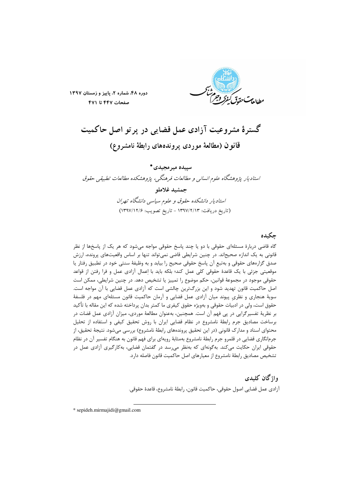

دوره ۴۸، شماره ۲، پاییز و زمستان ۱۳۹۷ صفحات ۴۴۷ تا ۴۷۱

گسترهٔ مشروعیت آزادی عمل قضایی در پرتو اصل حاکمیت

قانون (مطالعة موردى پروندەهاى رابطة نامشروع)

سيبده مير مجيدي\* استادیار پژوهشگاه علوم انسانی و مطالعات فرهنگی، پژوهشکده مطالعات تطبیقی حقوق جمشيد غلامله استادیار دانشکده حقوق و علوم سیاسی دانشگاه تهران (تاريخ دريافت: ١٣٩٧/٢/١٣ - تاريخ تصويب: ١٣٩٧/١٢/۶)

# چكىدە

گاه قاضی دربارهٔ مسئلهای حقوقی با دو یا چند پاسخ حقوقی مواجه میشود که هر یک از پاسخها از نظر قانونی به یک اندازه صحیحاند. در چنین شرایطی قاضی نمیتواند تنها بر اساس واقعیتهای پرونده، ارزش صدق گزارههای حقوقی و بهتبع آن پاسخ حقوقی صحیح را بیابد و به وظیفهٔ سنتی خود در تطبیق رفتار یا موقعیتی جزئی با یک قاعدهٔ حقوقی کلی عمل کند؛ بلکه باید با اعمال آزادی عمل و فرا رفتن از قواعد حقوقی موجود در مجموعهٔ قوانین، حکم موضوع را تمییز یا تشخیص دهد. در چنین شرایطی، ممکن است اصل حاکمیت قانون تهدید شود و این بزرگترین چالشی است که آزادی عمل قضایی با آن مواجه است. سویهٔ هنجاری و نظری پیوند میان آزادی عمل قضایی و آرمان حاکمیت قانون مسئلهای مهم در فلسفهٔ حقوق است، ولی در ادبیات حقوقی و بهویژه حقوق کیفری ما کمتر بدان پرداخته شده که این مقاله با تأکید بر نظریهٔ تفسیرگرایی در پی فهم آن است. همچنین، بهعنوان مطالعهٔ موردی، میزان آزادی عمل قضات در برساخت مصاديق جرم رابطة نامشروع در نظام قضايي ايران با روش تحقيق كيفي و استفاده از تحليل محتوای اسناد و مدارک قانونی (در این تحقیق پروندههای رابطهٔ نامشروع) بررسی میشود. نتیجهٔ تحقیق، از جرمانگاری قضایی در قلمرو جرم رابطهٔ نامشروع بهمثابهٔ رویهای برای فهم قانون به هنگام تفسیر آن در نظام حقوقی ایران حکایت میکند. بهگونهای که بهنظر می رسد در گفتمان قضایی، بهکارگیری آزادی عمل در تشخيص مصاديق رابطهٔ نامشروع از معيارهاي اصل حاكميت قانون فاصله دارد.

> واژگان كليدى آزادي عمل قضايي اصول حقوقي، حاكميت قانون، رابطهٔ نامشروع، قاعدهٔ حقوقي.

\* sepideh.mirmajidi@gmail.com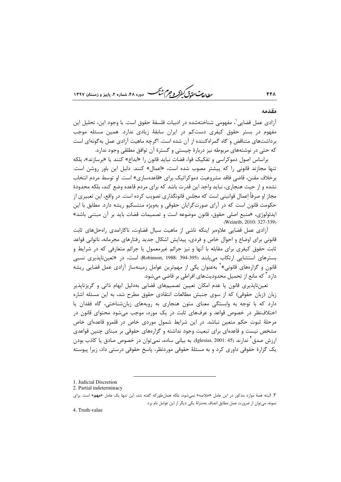ط *لعات حقوق كيفركر وجرم ش<sup>ي</sup>كر* دوره ۴۸، شماره ۲، باییز و زمستان ۱۳۹۷

#### مقدمه

441

آزادي عمل قضايي ٰ، مفهومي شناختهشده در ادبيات فلسفهٔ حقوق است. با وجود اين، تحليل اين مفهوم در بستر حقوق کیفری دستکم در ایران سابقهٔ زیادی ندارد. همین مسئله موجب برداشتهای متناقض و گاه گمراهکننده از آن شده است. اگرچه ماهیت آزادی عمل بهگونهای است که حتی در نوشتههای مربوطه نیز دربارهٔ چیستی و گسترهٔ آن توافق مطلقی وجود ندارد.

براساس اصول دموكراسي و تفكيك قوا، قضات نبايد قانون را «ابداع» كنند يا «برسازند»، بلكه تنها مجازند قانونی را که پیشتر مصوب شده است، «اعمال» کنند. دلیل این باور روشن است. برخلاف مقنن، قاضی فاقد مشروعیت دموکراتیک برای «قاعدهسازی» است. او توسط مردم انتخاب نشده و از حیث هنجاری، نباید واجد این قدرت باشد که برای مردم قاعده وضع کند، بلکه محدودهٔ مجاز او صرفاً اعمال قوانینی است که مجلس قانونگذاری تصویب کرده است. در واقع، این تعبیری از حکومت قانون است که در آرای صورتگرایان حقوقی و بهویژه منتسکیو ریشه دارد. مطابق با این ايدئولوژي، «منبع اصلي حقوق، قانون موضوعه است و تصميمات قضات بايد بر آن مبتني باشد» (Weinrib, 2010: 327-339)

آزادی عمل قضایی علاوهبر اینکه ناشی از ماهیت سیال قضاوت، ناکارامدی راهحلهای ثابت قانونی برای اوضاع و احوال خاص و فردی، پیدایش اشکال جدید رفتارهای مجرمانه، ناتوانی قواعد ثابت حقوق کیفری برای مقابله با آنها و نیز جرائم غیرمعمول یا جرائم متعارفی که در شرایط و بسترهای استثنایی ارتکاب می یابند (Robinson, 1988: 394-395) است، در «تعینiاپذیری نسبی قانون و گزارمهای قانونی»<sup>۲</sup> بهعنوان یکی از مهمترین عوامل زمینهساز آزادی عمل قضایی ریشه دارد<sup>۳</sup> که مانع از تحمیل محدودیتهای افراطی بر قاضی میشود.

تعینناپذیری قانون یا عدم امکان تعیین تصمیمهای قضایی بهدلیل ابهام ذاتی و گریزناپذیر زبان (زبان حقوقی) که از سوی جنبش مطالعات انتقادی حقوق مطرح شد، به این مسئله اشاره دارد که با توجه به وابستگی معنای متون هنجاری به رویههای زبانشناختی، گاه فقدان یا اختلافنظر در خصوص قواعد و عرفهای ثابت در یک مورد، موجب می شود محتوای قانون در مرحلهٔ ثبوت حکم متعین نباشد. در این شرایط شمول موردی خاص در قلمرو قاعدهای خاص مشخص نیست و قاعدهای برای تبعیت وجود نداشته و گزارههای حقوقی بر مبنای چنین قواعدی ارزش صدق <sup>۱</sup> ندارند (45 :1glesias, 2001). به بیانی ساده، نمی¤وان در خصوص صادق یا کاذب بودن یک گزارهٔ حقوقی داوری کرد و به مسئلهٔ حقوقی موردنظر، پاسخ حقوقی درستی داد، زیرا پیوسته

<sup>1.</sup> Judicial Discretion

<sup>2.</sup> Partial indeterminacy

۳. البته همهٔ موارد مذکور در این عامل «خلاصه» نمیشود، بلکه همانطورکه گفته شد، این تنها یک عامل «**مهم**» است. برای نمونه، می توان از ضرورت عمل مطابق انصاف بهمنزلهٔ یکی دیگر از این عوامل نام برد.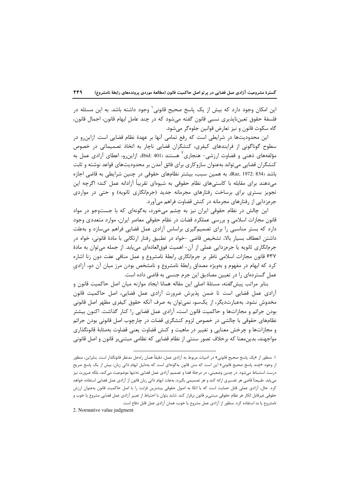این امکان وجود دارد که بیش از یک پاسخ صحیح قانونی ٰ وجود داشته باشد. به این مسئله در فلسفهٔ حقوق تعینناپذیری نسبی قانون گفته میشود که در چند عامل ابهام قانون، اجمال قانون، گاه سکوت قانون و نيز تعارض قوانين جلوهگر مي شود.

این محدودیتها در شرایطی است که رفع تمامی آنها بر عهدهٔ نظام قضایی است. ازاین رو در سطوح گوناگونی از فرایندهای کیفری، کنشگران قضایی ناچار به اتخاذ تصمیماتی در خصوص مؤلفههای ذهنی و قضاوت ارزشی- هنجاری<sup>۲</sup> هستند (401 :bid). ازاین٫و، اعطای آزادی عمل به کنشگران قضایی می تواند بهعنوان سازوکاری برای فائق آمدن بر محدودیتهای قواعد نوشته و ثابت باشد (834 :Raz, 1972). به همین سبب، بیشتر نظامهای حقوقی در چنین شرایطی به قاضی اجازه میدهند برای مقابله با کاستیهای نظام حقوقی به شیوهای تقریباً آزادانه عمل کند؛ اگرچه این تجویز بستری برای برساخت رفتارهای مجرمانه جدید (جرمانگاری ثانویه) و حتی در مواردی جرمزدایی از رفتارهای مجرمانه در کنش قضاوت فراهم میآورد.

این چالش در نظام حقوقی ایران نیز به چشم می خورد، به گونهای که با جستوجو در مواد قانون مجازات اسلامی و بررسی عملکرد قضات در نظام حقوقی معاصر ایران، موارد متعددی وجود دارد که بستر مناسبی را برای تصمیمگیری براساس آزادی عمل قضایی فراهم می سازد و بهعلت داشتن انعطاف بسیار بالا، تشخیص قاضی -خواه در تطبیق رفتار ارتکابی با مادهٔ قانونی، خواه در جرمانگاری ثانویه یا جرمزدایی عملی از آن- اهمیت فوق|لعادهای مییابد. از جمله میتوان به مادهٔ ۶۳۷ قانون مجازات اسلامی ناظر بر جرمانگاری رابطهٔ نامشروع و عمل منافی عفت دون زنا اشاره کرد که ابهام در مفهوم و بهویژه مصداق رابطهٔ نامشروع و نامشخص بودن مرز میان آن دو، آزادی عمل گستردهای را در تعیین مصادیق این جرم جنسی به قاضی داده است.

بنابر مراتب پیش گفته، مسئلهٔ اصلی این مقاله همانا ایجاد موازنه میان اصل حاکمیت قانون و آزادی عمل قضایی است تا ضمن پذیرش ضرورت آزادی عمل قضایی، اصل حاکمیت قانون مخدوش نشود. بهعبارتدیگر، از یکسو، نمی¤وان به صرف آنکه حقوق کیفری مظهر اصل قانونی بودن جرائم و مجازاتها و حاکمیت قانون است، آزادی عمل قضایی را کنار گذاشت. اکنون بیشتر نظامهای حقوقی با چالشی در خصوص لزوم کنشگری قضات در چارچوب اصل قانونی بودن جرائم و مجازاتها و چرخش معنایی و تغییر در ماهیت و کنش قضاوت یعنی قضاوت بهمثابهٔ قانونگذاری مواجهند، بدین معنا که برخلاف تصور سنتی از نظام قضایی که نظامی مبتنیبر قانون و اصل قانونی

2. Normative value judgment

۱. منظور از «یک پاسخ صحیح قانونی» در ادبیات مربوط به آزادی عمل، دقیقاً همان راهحل مدنظر قانونگذار است. بنابراین، منظور از وجود «چند پاسخ صحیح قانونی» این است که متن قانون بهگونهای است که بهدلیل ابهام ذاتی زبان، بیش از یک پاسخ صریح درست استنباط میشود. در چنین وضعیتی، در مرحلهٔ قضا و تصمیم آزادی عمل قضایی نهتنها موضوعیت میکند، بلکه ضرورت نیز مييابد. طبيعتاً قاضي هر تفسيري ارائه كند و هر تصميمي بگيرد، بهعلت ابهام ذاتي زبان قانون از آزادي عمل قضايي استفاده خواهد كرد. حال، آزادي عملي قابل حمايت است كه با اتكا به اصول حقوقي بيشترين قرابت را با اصل حاكميت قانون بهعنوان ارزش حقوقي غيرقابل انكار هر نظام حقوقي مبتني,ر قانون برقرار كند. شايد بتوان با احتياط از تعبير آزادى عمل قضايي مشروع يا خوب و نامشروع یا بد استفاده کرد. منظور از آزادی عمل مشروع یا خوب، همان آزادی عمل قابل دفاع است.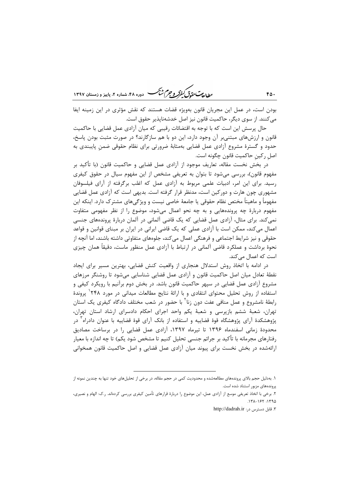ر الدیم سنگردی باشتر و جرم شنگ دوره ۴۸، شعاره ۲، پاییز و زمستان ۱۳۹۷

بودن است، در عمل این مجریان قانون بهویژه قضات هستند که نقش مؤثری در این زمینه ایفا می کنند. از سوی دیگر، حاکمیت قانون نیز اصل خدشهناپذیر حقوق است.

حال پرسش این است که با توجه به اقتضائات رقیبی که میان آزادی عمل قضایی با حاکمیت قانون و ارزشهای مبتنیبر آن وجود دارد، این دو با هم سازگارند؟ در صورت مثبت بودن پاسخ، حدود و گسترهٔ مشروع آزادی عمل قضایی بهمثابهٔ ضرورتی برای نظام حقوقی ضمن پایبندی به اصل رکين حاکميت قانون چگونه است.

در بخش نخست مقاله، تعاریف موجود از آزادی عمل قضایی و حاکمیت قانون (با تأکید بر مفهوم قانون)، بررسی میشود تا بتوان به تعریفی مشخص از این مفهوم سیال در حقوق کیفری رسید. برای این امر، ادبیات علمی مربوط به آزادی عمل که اغلب برگرفته از آرای فیلسوفان مشهوری چون هارت و دورکین است، مدنظر قرار گرفته است. بدیهی است که آزادی عمل قضایی مفهوماً و ماهیتاً مختص نظام حقوقی یا جامعهٔ خاصی نیست و ویژگیهای مشترک دارد. اینکه این مفهوم دربارهٔ چه پروندههایی و به چه نحو اعمال میشود، موضوع را از نظر مفهومی متفاوت نمی کند. برای مثال، آزادی عمل قضایی که یک قاضی آلمانی در آلمان دربارهٔ پروندههای جنسی اعمال می کند، ممکن است با آزادی عملی که یک قاضی ایرانی در ایران بر مبنای قوانین و قواعد حقوقی و نیز شرایط اجتماعی و فرهنگی اعمال می کند، جلوههای متفاوتی داشته باشند، اما آنچه از نحوهٔ برداشت و عملکرد قاضی آلمانی در ارتباط با آزادی عمل منظور ماست، دقیقاً همان چیزی است که اعمال می کند.

در ادامه با اتخاذ روش استدلال هنجاری از واقعیت کنش قضایی، بهترین مسیر برای ایجاد نقطهٔ تعادل میان اصل حاکمیت قانون و آزادی عمل قضایی شناسایی میشود تا روشنگر مرزهای مشروع آزادی عمل قضایی در سپهر حاکمیت قانون باشد. در بخش دوم برآنیم با رویکرد کیفی و استفاده از روش تحلیل محتوای انتقادی و با ارائهٔ نتایج مطالعات میدانی در مورد ۲۴۸<sup>۰</sup> پروندهٔ رابطهٔ نامشروع و عمل منافی عفت دون زنا<sup>۲</sup> با حضور در شعب مختلف دادگاه کیفری یک استان تهران، شعبهٔ ششم بازپرسی و شعبهٔ یکم واحد اجرای احکام دادسرای ارشاد استان تهران، پژوهشکدهٔ اّرای پژوهشگاه قوهٔ قضاییه و استفاده از بانک اّرای قوهٔ قضاییه با عنوان دادراه ٰ در محدودهٔ زمانی اسفندماه ۱۳۹۶ تا تیرماه ۱۳۹۷، آزادی عمل قضایی را در برساخت مصادیق رفتارهای مجرمانه با تأکید بر جرائم جنسی تحلیل کنیم تا مشخص شود یکم) تا چه اندازه با معیار ارائهشده در بخش نخست برای پیوند میان آزادی عمل قضایی و اصل حاکمیت قانون همخوانی

 $FO.$ 

۱. بهدلیل حجم بالای پروندههای مطالعهشده و محدودیت کمی در حجم مقاله، در برخی از تحلیلهای خود تنها به چندین نمونه از پروندههای مزبور استناد شده است.

۲. برخی با اتخاذ تعریفی موسع از آزادی عمل، این موضوع را دربارهٔ قرارهای تأمین کیفری بررسی کردهاند. ر.ک: الهام و نصیری،  $151 - 155 - 1590$ 

٣. قابل دسترس در: http://dadrah.ir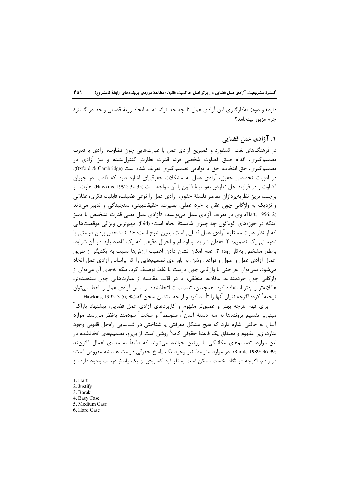دارد) و دوم) به کار گیری این آزادی عمل تا چه حد توانسته به ایجاد رویهٔ قضایی واحد در گسترهٔ جرم مزبور بينجامد؟

## ۱. آزادی عمل قضایی

در فرهنگهای لغت آکسفورد و کمبریج آزادی عمل با عبارتهایی چون قضاوت، آزادی یا قدرت تصمیم گیری، اقدام طبق قضاوت شخصی فرد، قدرت نظارت کنترلنشده و نیز آزادی در تصميم گيري، حق انتخاب، حق يا توانايي تصميم گيري تعريف شده است (Oxford & Cambridge). در ادبیات تخصصی حقوق، آزادی عمل به مشکلات حقوقیای اشاره دارد که قاضی در جریان قضاوت و در فرايند حل تعارض بهوسيلهٔ قانون با آن مواجه است (Hawkins, 1992: 32-35). هارت<sup>\</sup> از برجستهترين نظريهپردازان معاصر فلسفهٔ حقوق، آزادي عمل را نوعي فضيلت، قابليت فكرى، عقلاني و نزدیک به واژگانی چون عقل یا خرد عملی، بصیرت، حقیقتبینی، سنجیدگی و تدبیر میداند (Hart, 1956: 2. وي در تعريف آزادي عمل مينويسد: «آزادي عمل يعني قدرت تشخيص يا تميز اینکه در حوزمهای گوناگون چه چیزی شایستهٔ انجام است» (Ibid). مهمترین ویژگی موقعیتهایی که از نظر هارت مستلزم آزادی عمل قضایی است، بدین شرح است: «۱. نامشخص بودن درستی یا نادرستی یک تصمیم؛ ۲. فقدان شرایط و اوضاع و احوال دقیقی که یک قاعده باید در آن شرایط بهطور مشخص به کار رود؛ ۳. عدم امکان نشان دادن اهمیت ارزشها نسبت به یکدیگر از طریق اعمال آزادی عمل و اصول و قواعد روشن. به باور وی تصمیمهایی را که براساس آزادی عمل اتخاذ میشود، نمیتوان بهراحتی با واژگانی چون درست یا غلط توصیف کرد، بلکه بهجای آن می،توان از واژگانی چون خردمندانه، عاقلانه، منطقی، یا در قالب مقایسه از عبارتهایی چون سنجیدهتر، عاقلانهتر و بهتر استفاده کرد. همچنین، تصمیمات اتخاذشده براساس آزادی عمل را فقط می توان توجيه <sup>۲</sup> كرد؛ اگرچه نتوان آنها ۱٫ تأييد كرد و از حقانيتشان سخن گفت» ((3-3 :1992 .Hawkins, 1992

برای فهم هرچه بهتر و عمیقتر مفهوم و کاربردهای آزادی عمل قضایی، پیشنهاد باراک<sup>۳</sup> مبنیبر تقسیم پروندهها به سه دستهٔ آسان<sup>۴</sup>، متوسط<sup>۵</sup> و سخ*ت<sup>۶</sup> س*ودمند بهنظر میرسد. موارد <sup>آ</sup>سان به حالتی اشاره دارد که هیچ مشکل معرفتی یا شناختی در شناسایی راهحل قانونی وجود ندارد، زیرا مفهوم و مصداق یک قاعدهٔ حقوقی کاملاً روشن است. ازاینرو، تصمیمهای اتخاذشده در این موارد، تصمیمهای مکانیکی یا روتین خوانده می شوند که دقیقاً به معنای اعمال قانون|ند (Barak, 1989: 36-39). در موارد متوسط نيز وجود يک ياسخ حقوقي درست هميشه مفروض است؛ در واقع، اگرچه در نگاه نخست ممکن است بهنظر آید که بیش از یک پاسخ درست وجود دارد، از

- 1. Hart
- 2. Justify
- 3. Barak
- 4. Easy Case
- 5. Medium Case 6. Hard Case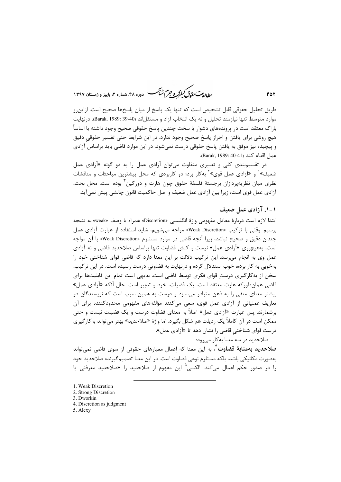ر<br>رواده سی تحقیق گفتر و جرم شنگ هست دوده ۴۸، شعاره ۲، مامیز و ذمستان ۱۳۹۷

طریق تحلیل حقوقی قابل تشخیص است که تنها یک پاسخ از میان پاسخها صحیح است. ازاین٫و موارد متوسط تنها نيازمند تحليل و نه يک انتخاب آزاد و مستقل|ند (40-39 :Barak, 1989). درنهايت باراک معتقد است در پروندههای دشوار یا سخت چندین پاسخ حقوقی صحیح وجود داشته یا اساساً هیچ روشی برای یافتن و احراز پاسخ صحیح وجود ندارد. در این شرایط حتی تفسیر حقوقی دقیق و پیچیده نیز موفق به یافتن پاسخ حقوقی درست نمیشود. در این موارد قاضی باید براساس آزادی عمل اقدام كند (Barak, 1989: 40-41).

در تقسیم بندی کلی و تعبیری متفاوت می توان آزادی عمل را به دو گونه «آزادی عمل ضعیف» و «آزادی عمل قوی» آبهکار برد؛ دو کاربردی که محل بیشترین مباحثات و مناقشات نظری میان نظریهپردازان برجستهٔ فلسفهٔ حقوق چون هارت و دورکین ٰ بوده است. محل بحث، آزادی عمل قوی است، زیرا بین آزادی عمل ضعیف و اصل حاکمیت قانون چالشی پیش نمی آید.

#### ۱-۱. آزادی عمل ضعیف

ابتدا لازم است دربارهٔ معادل مفهومی واژهٔ انگلیسی «Discretion» همراه با وصف «weak» به نتیجه برسیم. وقتی با ترکیب «Weak Discretion» مواجه می شویم، شاید استفاده از عبارت آزادی عمل چندان دقیق و صحیح نباشد، زیرا آنچه قاضی در موارد مستلزم «Weak Discretion» با آن مواجه است، بههیچروی «آزادی عمل» نیست و کنش قضاوت تنها براساس صلاحدید قاضی و نه آزادی عمل وی به انجام می رسد. این ترکیب دلالت بر این معنا دارد که قاضی قوای شناختی خود را بهخوبی به کار برده، خوب استدلال کرده و درنهایت به قضاوتی درست رسیده است. در این ترکیب، سخن از بهکارگیری درست قوای فکری توسط قاضی است. بدیهی است تمام این قابلیتها برای قاضی همان طور که هارت معتقد است، یک فضیلت، خرد و تدبیر است. حال آنکه «آزادی عمل» بیشتر معنای منفی را به ذهن متبادر می سازد و درست به همین سبب است که نویسندگان در تعاریف عملیاتی از آزادی عمل قوی، سعی میکنند مؤلفههای مفهومی محدودکننده برای آن برشمارند. پس عبارت «آزادی عمل» اصلاً به معنای قضاوت درست و یک فضیلت نیست و حتی ممکن است در آن کاملاً یک رذیلت هم شکل بگیرد. اما واژهٔ «صلاحدید» بهتر میتواند بهکارگیری درست قوای شناختی قاضی را نشان دهد تا «آزادی عمل».

صلاحديد در سه معنا به كار مى رود: **صلاحدید بهمثابهٔ قضاوت ٔ**ٔ، به این معنا که اِعمال معیارهای حقوقی از سوی قاضی نمیتواند بەصورت مكانيكى باشد، بلكه مستلزم نوعى قضاوت است. در اين معنا تصميم گيرنده صلاحديد خود را در صدور حکم اعمال میکند. الکسی<sup>۵</sup> این مفهوم از صلاحدید را «صلاحدید معرفتی یا

- 1. Weak Discretion
- 2. Strong Discretion
- 3. Dworkin
- 4. Discretion as judgment
- 5. Alexy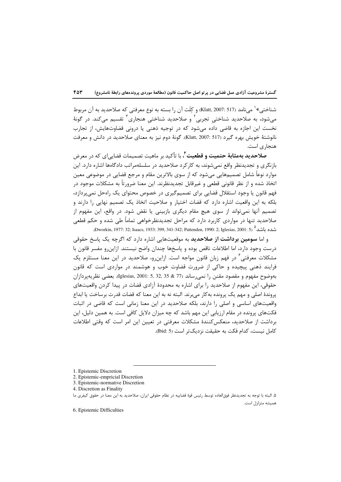شناختی»<sup>\</sup> میiامد (517 :2007) (Klatt, و کِلَت آن را بسته به نوع معرفتی که صلاحدید به آن مربوط میشود، به صلاحدید شناختی تجربی ٔ و صلاحدید شناختی هنجاری ٔ تقسیم میکند. در گونهٔ نخست این اجازه به قاضی داده میشود که در توجیه ذهنی یا درونی قضاوتهایش، از تجارب نانوشتهٔ خویش بهره گیرد (Klatt, 2007: 517). گونهٔ دوم نیز به معنای صلاحدید در دانش و معرفت هنجاری است.

**صلاحدید بهمثابهٔ حتمیت و قطعیت ٔ،** با تأکید بر ماهیت تصمیمات قضایی|ی که در معرض بازنگری و تجدیدنظر واقع نمی شوند، به کارکرد صلاحدید در سلسلهمراتب دادگاهها اشاره دارد. این موارد نوعاً شامل تصمیمهایی می،شود که از سوی بالاترین مقام و مرجع قضایی در موضوعی معین اتخاذ شده و از نظر قانونی قطعی و غیرقابل تجدیدنظرند. این معنا ضرورتاً به مشکلات موجود در فهم قانون یا وجود استقلال قضایی برای تصمیمگیری در خصوص محتوای یک راهحل نمی پردازد، بلکه به این واقعیت اشاره دارد که قضات اختیار و صلاحیت اتخاذ یک تصمیم نهایی را دارند و تصمیم آنها نمی;تواند از سوی هیچ مقام دیگری بازبینی یا نقض شود. در واقع، این مفهوم از صلاحدید تنها در مواردی کاربرد دارد که مراحل تجدیدنظرخواهی تماماً طی شده و حکم قطعی شده باشد<sup>0</sup> (Dworkin, 1977: 32; Isaacs, 1933: 399, 341-342; Pattenden, 1990: 2; Iglesias, 2001: 5.

و اما **سومین برداشت از صلاحدید** به موقعیتهایی اشاره دارد که اگرچه یک پاسخ حقوقی درست وجود دارد، اما اطلاعات ناقص بوده و پاسخها چندان واضح نیستند. ازاین و مفسر قانون با مشکلات معرفتی<sup>۶</sup> در فهم زبان قانون مواجه است. ازاین٫و، صلاحدید در این معنا مستلزم یک فرایند ذهنی پیچیده و حاکی از ضرورت قضاوت خوب و هوشمند در مواردی است که قانون بهوضوح مفهوم و مقصود مقنن را نمىرساند (77 & 35 ,32 ,35 .1001 .1glesias, بعضى نظريهيردازان حقوقی، این مفهوم از صلاحدید را برای اشاره به محدودهٔ آزادی قضات در پیدا کردن واقعیتهای پروندهٔ اصلی و مهم یک پرونده بهکار می,برند. البته نه به این معنا که قضات قدرت برساخت یا ابداع واقعیتهای اساسی و اصلی را دارند، بلکه صلاحدید در این معنا زمانی است که قاضی در اثبات فکتهای پرونده در مقام ارزیابی این مهم باشد که چه میزان دلایل کافی است. به همین دلیل، این برداشت از صلاحدید، منعکس کنندهٔ مشکلات معرفتی در تعیین این امر است که وقتی اطلاعات كامل نيست، كدام فكت به حقيقت نزديكتر است (Ibid: 5).

6. Epistemic Difficulties

<sup>1.</sup> Epistemic Discretion

<sup>2.</sup> Epistemic-empricial Discretion

<sup>3.</sup> Epistemic-normative Discretion

<sup>4.</sup> Discretion as Finality

۵. البته با توجه به تجديدنظر فوق|لعاده توسط رئيس قوهٔ قضاييه در نظام حقوقي ايران، صلاحديد به اين معنا در حقوق كيفرى ما همیشه متزلزل است.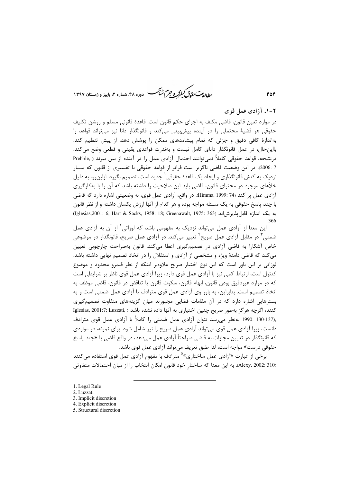ط *لعات حقوق كيفركر وجرم ش<sup>ي</sup>خ* 

۲-۱. آزادی عمل قوی

۴۵۴

در موارد تعین قانون، قاضی مکلف به اجرای حکم قانون است. قاعدهٔ قانونی مسلم و روشن تکلیف حقوقی هر قضیهٔ محتملی را در آینده پیشبینی میکند و قانونگذار دانا نیز میتواند قواعد را بهاندازهٔ کافی دقیق و جزئی که تمام پیشامدهای ممکن را پوشش دهد، از پیش تنظیم کند. بااین حال، در عمل قانونگذار دانای کامل نیست و بهندرت قواعدی یقینی و قطعی وضع می کند. درنتیجه، قواعد حقوقی کاملاً نمی توانند احتمال آزادی عمل را در آینده از بین ببرند ( .Prebble 7 :2006). در این وضعیت قاضی ناگزیر است فراتر از قواعد حقوقی با تفسیری از قانون که بسیار نزدیک به کنش قانونگذاری و ایجاد یک قاعدهٔ حقوقی<sup>۱</sup> جدید است، تصمیم بگیرد. ازاین٫و، به دلیل خلأهای موجود در محتوای قانون، قاضی باید این صلاحیت را داشته باشد که آن را با بهکارگیری آزادی عمل پر کند (74 :Himma, 1999). در واقع، آزادی عمل قوی، به وضعیتی اشاره دارد که قاضی با چند پاسخ حقوقی به یک مسئله مواجه بوده و هر کدام از آنها ارزش یکسان داشته و از نظر قانون به يک اندازه قابل يذيرش اند (1975: 363) (Iglesias,2001: 6; Hart & Sacks, 1958: 18; Greenawalt, 1975: 366

این معنا از آزادی عمل می¤واند نزدیک به مفهومی باشد که لوزاتی<sup>۲</sup> از آن به آزادی عمل ضمنی ٌ در مقابل آزادی عمل صریح ٔ تعبیر میکند. در آزادی عمل صریح، قانونگذار در موضوعی خاص آشکارا به قاضی آزادی در تصمیمگیری اعطا میکند. قانون بهصراحت چارچوبی تعیین می کند که قاضی دامنهٔ ویژه و مشخصی از آزادی و استقلال را در اتخاذ تصمیم نهایی داشته باشد. لوزاتی بر این باور است که این نوع اختیار صریح علاوهبر اینکه از نظر قلمرو محدود و موضوع كنترل است، ارتباط كمي نيز با آزادي عمل قوى دارد، زيرا آزادي عمل قوى ناظر بر شرايطي است كه در موارد غيردقيق بودن قانون، ابهام قانون، سكوت قانون يا تناقض در قانون، قاضي موظف به اتخاذ تصمیم است. بنابراین، به باور وی آزادی عمل قوی مترادف با آزادی عمل ضمنی است و به بسترهایی اشاره دارد که در آن مقامات قضایی مجبورند میان گزینههای متفاوت تصمیم گیری كنند، اگرچه هرگز بهطور صريح چنين اختياري به آنها داده نشده باشد ( ,Iglesias, 2001:7; Luzzati ,(130-137 .1990 بهنظر می رسد نتوان آزادی عمل ضمنی را کاملاً با آزادی عمل قوی مترادف دانست، زیرا آزادی عمل قوی می تواند آزادی عمل صریح را نیز شامل شود. برای نمونه، در مواردی که قانونگذار در تعیین مجازات به قاضی صراحتاً آزادی عمل میدهد، در واقع قاضی با «چند پاسخ حقوقي درست» مواجه است، لذا طبق تعريف مي تواند آزادي عمل قوي باشد.

برخی از عبارت «آزادی عمل ساختاری»<sup>۵</sup> مترادف با مفهوم آزادی عمل قوی استفاده میکنند (Alexy, 2002: 310). به اين معنا كه ساختار خود قانون امكان انتخاب را از ميان احتمالات متفاوتي

- 1. Legal Rule
- 2. Luzzati

- 4. Explicit discretion
- 5. Structural discretion

<sup>3.</sup> Implicit discretion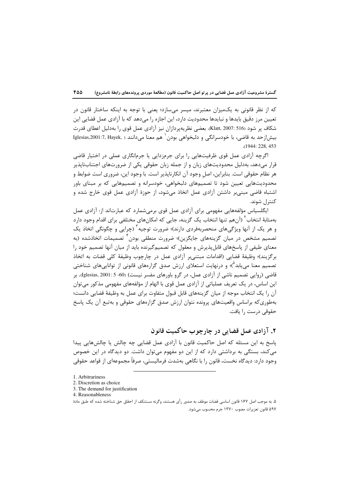که از نظر قانونی به یکمیزان معتبرند، میسر می سازد؛ یعنی با توجه به اینکه ساختار قانون در تعیین مرز دقیق بایدها و نبایدها محدودیت دارد، این اجازه را میدهد که با آزادی عمل قضایی این شکاف بر شود (516 :2007 .Klatt, بعضي نظريهپردازان نيز آزادي عمل قوي را بهدليل اعطاي قدرت بيش|زحد به قاضي، با خودسرانگي و دلبخواهي بودن ` هم معنا ميدانند ( ,Iglesias,2001:7, Hayek .(1944: 228, 453

اگرچه آزادی عمل قوی ظرفیتهایی را برای جرمزدایی یا جرمانگاری عملی در اختیار قاضی قرار می،دهد، بهدلیل محدودیتهای زبان و از جمله زبان حقوقی یکی از ضرورتهای اجتنابنایذیر هر نظام حقوقی است. بنابراین، اصل وجود آن انکارناپذیر است. با وجود این، ضروری است ضوابط و محدودیتهایی تعیین شود تا تصمیمهای دلبخواهی، خودسرانه و تصمیمهایی که بر مبنای باور اشتباه قاضی مبنیہر داشتن آزادی عمل اتخاذ می شود، از حوزۂ آزادی عمل قوی خارج شده و كنترل شوند.

ایگلسیاس مؤلفههایی مفهومی برای آزادی عمل قوی برمی شمارد که عبارتاند از: آزادی عمل بهمثابهٔ انتخاب ۖ (آنهم تنها انتخاب یک گزینه، جایی که امکانهای مختلفی برای اقدام وجود دارد و هر یک از آنها ویژگیهای منحصربهفردی دارند)؛ ضرورت توجیه<sup>۳</sup> (چراپی و چگونگی اتخاذ یک تصمیم مشخص در میان گزینههای جایگزین)؛ ضرورت منطقی بودن ٔ تصمیمات اتخاذشده (به معنای طیفی از پاسخهای قابل پذیرش و معقول که تصمیمگیرنده باید از میان آنها تصمیم خود را برگزيند)؛ وظيفة قضايي (اقدامات مبتني بر آزادي عمل در چارچوب وظيفة كلي قضات به اتخاذ تصمیم معنا میLبان<sup>م</sup>)؛ و درنهایت استعلای ارزش صدق گزارههای قانونی از تواناییهای شناختی قاضی (روایی تصمیم ناشی از آزادی عمل، در گرو باورهای مفسر نیست) (60- Iglesias, 2001: 5، بر این اساس، در یک تعریف عملیاتی از آزادی عمل قوی با الهام از مؤلفههای مفهومی مذکور می توان آن را یک انتخاب موجه از میان گزینههای قابل قبول متفاوت برای عمل به وظیفهٔ قضایی دانست؛ بهطوری که براساس واقعیتهای پرونده نتوان ارزش صدق گزارههای حقوقی و بهتبع آن یک پاسخ حقوقي درست ,ا يافت.

# ۲. آزادی عمل قضایی در چارچوب حاکمیت قانون

پاسخ به این مسئله که اصل حاکمیت قانون با آزادی عمل قضایی چه چالش یا چالشهایی پیدا می کند، بستگی به برداشتی دارد که از این دو مفهوم می توان داشت. دو دیدگاه در این خصوص وجود دارد: دیدگاه نخست، قانون ٫ا با نگاهی بهشدت فرمالیستی، صرفاً مجموعهای از قواعد حقوقی

<sup>1.</sup> Arbitrariness

<sup>2.</sup> Discretion as choice

<sup>3.</sup> The demand for justification

<sup>4.</sup> Reasonableness

۵. به موجب اصل ۱۶۷ قانون اساسی قضات موظف به صدور رأی هستند، وگرنه مستنکف از احقاق حق شناخته شده که طبق مادهٔ ۵۹۷ قانون تعزیرات مصوب ۱۳۷۰ جرم محسوب میشود.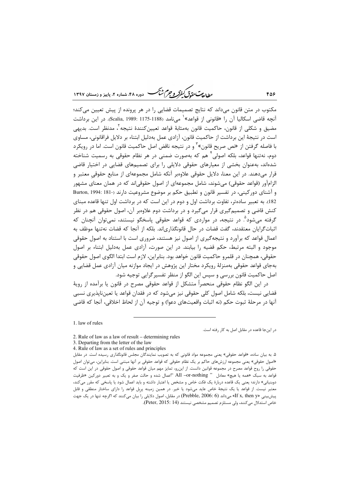بط<sub>الع</sub>ت حق<sub>دق</sub>ی کنف**کر و جرم ش**نگ .<br>• دوره ۴۸، شماره ۲، بابیز و زمستان ۱۳۹۷

مکتوب در متن قانون میداند که نتایج تصمیمات قضایی را در هر پرونده از پیش تعیین می کند؛ آنچه قاضی اسکالیا آن را «قانونی از قواعد»<sup>۱</sup> میiامد (1175-1175 :Scalia, 1989). در این برداشت مضيق و شكلي از قانون، حاكميت قانون بەمثابهٔ قواعد تعيين،كنندهٔ نتيجه<sup>۲</sup>، مدنظر است. بدیهے, است در نتیجهٔ این برداشت از حاکمیت قانون، آزادی عمل بهدلیل ابتناء بر دلایل فراقانونی، مساوی با فاصله گرفتن از «نص صریح قانون» ٰ و در نتیجه ناقض اصل حاکمیت قانون است. اما در رویکرد دوم، نهتنها قواعد، بلکه اصولی ٔ هم که بهصورت ضمنی در هر نظام حقوقی به رسمیت شناخته شدهاند، بهعنوان بخشی از معیارهای حقوقی دلایلی را برای تصمیمهای قضایی در اختیار قاضی قرار میدهند. در این معنا، دلایل حقوقی علاوهبر آنکه شامل مجموعهای از منابع حقوقی معتبر و الزامآور (قواعد حقوقی) میشوند، شامل مجموعهای از اصول حقوقی|ند که در همان معنای مشهور و آشنای دورکینی، در تفسیر قانون و تطبیق حکم بر موضوع مشروعیت دارند (-Burton, 1994: 181 182). به تعبیر سادهتر، تفاوت برداشت اول و دوم در این است که در برداشت اول تنها قاعده مبنای کنش قاضی و تصمیمگیری قرار میگیرد و در برداشت دوم علاوهبر آن، اصول حقوقی هم در نظر گرفته می،شود ؓ. در نتیجه، در مواردی که قواعد حقوقی پاسخگو نیستند، نمی،توان آنچنان که اثبات $\xi$ ایان معتقدند، گفت قضات در حال قانونگذاری|ند. بلکه از آنجا که قضات نهتنها موظف به اعمال قواعد که برآورد و نتیجهگیری از اصول نیز هستند، ضروری است با استناد به اصول حقوقی موجود و البته مرتبط، حکم قضیه ,ا بیابند. در این صورت، آزادی عمل بهدلیل ابتناء بر اصول حقوقي، همچنان در قلمرو حاكميت قانون خواهد بود. بنابراين، لازم است ابتدا الگوي اصول حقوقي بهجای قواعد حقوقی بهمنزلهٔ رویکرد مختار این پژوهش در ایجاد موازنه میان آزادی عمل قضایی و اصل حاكميت قانون بررسي و سپس اين الگو از منظر تفسير گرايي توجيه شود.

در این الگو نظام حقوقی منحصراً متشکل از قواعد حقوقی مصرح در قانون یا برآمده از رویهٔ قضایی نیست، بلکه شامل اصول کلی حقوقی نیز می شود که در فقدان قواعد یا تعینiاپذیری نسبی آنها در مرحلهٔ ثبوت حکم (نه اثبات واقعیتهای دعوا) و توجیه آن از لحاظ اخلاقی، آنجا که قاضی

1. law of rules

در این جا قاعده در مقابل اصل به کار رفته است.

- 3. Departing from the letter of the law
- 4. Rule of law as a set of rules and principles

۵. به بیان ساده، «قواعد حقوقی» یعنی مجموعه مواد قانونی که به تصویب نمایندگان مجلس قانونگذاری رسیده است. در مقابل «اصول حقوقي» يعني مجموعه ارزشهاي حاكم بر يک نظام حقوقي که قواعد حقوقي بر آنها مبتني است. بنابراين، مي توان اصول حقوقی را روح قواعد مصرح در مجموعه قوانین دانست. از اینرو، تمایز مهم میان قواعد حقوقی و اصول حقوقی در این است که قواعد به سبک «همه یا هیچ» معادل " All –or-nothing "اعمال شده و حالت صفر و یک و به تعبیر دورکین «ظرفیت دوبنیانی» دارند؛ یعنی یک قاعده دربارهٔ یک فکت خاص و مشخص یا اعتبار داشته و باید اعمال شود یا پاسخی که مقرر میکند، معتبر نیست. از قواعد یا یک نتیجهٔ خاص عاید میشود یا خیر. در همین زمینه پرِبِل قواعد را دارای ساختار منطقی و قابل پیشبینیِ «If x, then y» میداند (Prebble, 2006: 6) در مقابل، اصول دلایلی را بیان میکنند که اگرچه تنها در یک جهت خاص استدلال می كنند، ولی مستلزم تصميم مشخصی نيستند (Peter, 2015: 14).

<sup>2.</sup> Rule of law as a law of result – determining rules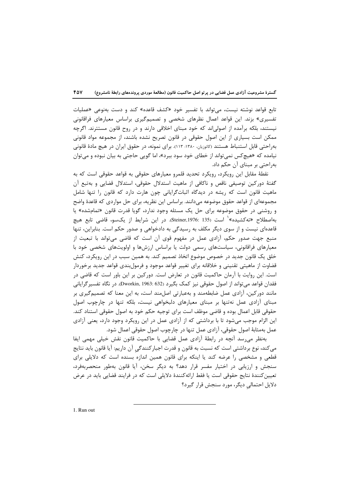تابع قواعد نوشته نیست، می تواند با تفسیر خود «کشف قاعده» کند و دست بهنوعی «عملیات تفسیری» بزند. این قواعد اعمال نظرهای شخصی و تصمیمگیری براساس معیارهای فراقانونی نیستند، بلکه برآمده از اصولی اند که خود مبنای اخلاقی دارند و در روح قانون مستترند. اگرچه ممکن است بسیاری از این اصول حقوقی در قانون تصریح نشده باشند، از مجموعه مواد قانونی بهراحتی قابل استنباط هستند (کاتوزیان، ۱۳۸۰: ۱۱۳). برای نمونه، در حقوق ایران در هیچ مادهٔ قانونی نیامده که «هیچکس نمیتواند از خطای خود سود ببرد»، اما گویی حاجتی به بیان نبوده و میتوان به٫احتی بر مبنای آن حکم داد.

نقطهٔ مقابل این رویکرد، رویکرد تحدید قلمرو معیارهای حقوقی به قواعد حقوقی است که به گفتهٔ دورکین توصیفی ناقص و ناکافی از ماهیت استدلال حقوقی، استدلال قضایی و بهتبع آن ماهیت قانون است که ریشه در دیدگاه اثباتگرایانی چون هارت دارد که قانون را تنها شامل مجموعهای از قواعد حقوق موضوعه می،دانند. براساس این نظریه، برای حل مواردی که قاعدهٔ واضح و روشنی در حقوق موضوعه برای حل یک مسئله وجود ندارد، گویا قدرت قانون «تمامشده» یا بهاصطلاح «تهكشيده»<sup>\</sup> است (Steiner,1976: 135). در اين شرايط از يكسو، قاضى تابع هيچ قاعدهای نیست و از سوی دیگر مکلف به رسیدگی به دادخواهی و صدور حکم است. بنابراین، تنها منبع جهت صدور حکم، اّزادی عمل در مفهوم قوی اّن است که قاضی میتواند با تبعیت از معیارهای فراقانونی، سیاستهای رسمی دولت یا براساس ارزشها و اولویتهای شخصی خود با خلق یک قانون جدید در خصوص موضوع اتخاذ تصمیم کند. به همین سبب در این رویکرد، کنش قضاوت از ماهيتي تقنيني و خلاقانه براي تغيير قواعد موجود و فرمولبندي قواعد جديد برخوردار است. این روایت با آرمان حاکمیت قانون در تعارض است. دورکین بر این باور است که قاضی در فقدان قواعد می تواند از اصول حقوقی نیز کمک بگیرد (Dworkin, 1963: 632). در نگاه تفسیر گرایانی مانند دورکین، آزادی عمل ضابطهمند و بهعبارتی اصلِمند است، به این معنا که تصمیمگیری بر مبنای اّزادی عمل نهتنها بر مبنای معیارهای دلبخواهی نیست، بلکه تنها در چارچوب اصول حقوقي قابل اعمال بوده و قاضي موظف است براي توجيه حكم خود به اصول حقوقي استناد كند. این الزام موجب میشود تا با برداشتی که از آزادی عمل در این رویکرد وجود دارد، یعنی آزادی عمل بهمثابهٔ اصول حقوقی، آزادی عمل تنها در چارچوب اصول حقوقی اعمال شود.

بهنظر می رسد آنچه در رابطهٔ آزادی عمل قضایی با حاکمیت قانون نقش خیلی مهمی ایفا مي كند، نوع برداشتي است كه نسبت به قانون و قدرت اجبار كنندگي آن داريم: آيا قانون بايد نتايج قطعی و مشخصی را عرضه کند یا اینکه برای قانون همین اندازه بسنده است که دلایلی برای سنجش و ارزیابی در اختیار مفسر قرار دهد؟ به دیگر سخن، آیا قانون بهطور منحصربهفرد، تعیین کنندهٔ نتایج حقوقی است یا فقط ارائهکنندهٔ دلایلی است که در فرایند قضایی باید در عرض دلایل احتمالی دیگر، مورد سنجش قرار گیرد؟

1. Run out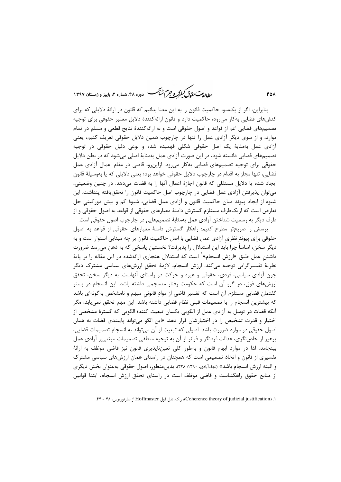ر .<br>روال<del>ه به ت</del>قاق *گفتر و جرم شنگ* دوره ۴۸، شعاره ۲، پاییز و زمستان ۱۳۹۷

بنابراین، اگر از یکسو، حاکمیت قانون را به این معنا بدانیم که قانون در ارائهٔ دلایلی که برای کنشهای قضایی بهکار میرود، حاکمیت دارد و قانون ارائهکنندهٔ دلایل معتبر حقوقی برای توجیه تصمیمهای قضایی اعم از قواعد و اصول حقوقی است و نه ارائه کنندهٔ نتایج قطعی و مسلم در تمام موارد، و از سوی دیگر آزادی عمل را تنها در چارچوب همین دلایل حقوقی تعریف کنیم، یعنی آزادی عمل بهمثابهٔ یک اصل حقوقی شکلی فهمیده شده و نوعی دلیل حقوقی در توجیه تصمیمهای قضایی دانسته شود، در این صورت آزادی عمل بهمثابهٔ اصلی میشود که در بطن دلایل حقوقی برای توجیه تصمیمهای قضایی بهکار میرود. ازاینرو، قاضی در مقام اعمال آزادی عمل قضايي، تنها مجاز به اقدام در چارچوب دلايل حقوقي خواهد بود؛ يعني دلايلي كه يا بەوسيلهٔ قانون ايجاد شده يا دلايل مستقلي كه قانون اجازهٔ اعمال آنها را به قضات ميدهد. در چنين وضعيتي، میتوان پذیرفتن آزادی عمل قضایی در چارچوب اصل حاکمیت قانون را تحققیافته پنداشت. این شیوه از ایجاد پیوند میان حاکمیت قانون و آزادی عمل قضایی، شیوهٔ کم و بیش دورکینی حل تعارض است که ازیکطرف مستلزم گسترش دامنهٔ معیارهای حقوقی از قواعد به اصول حقوقی و از طرف دیگر به رسمیت شناختن آزادی عمل بهمثابهٔ تصمیمهایی در چارچوب اصول حقوقی است.

یرسش را صریحتر مطرح کنیم: راهکار گسترش دامنهٔ معیارهای حقوقی از قواعد به اصول حقوقی برای پیوند نظری آزادی عمل قضایی با اصل حاکمیت قانون بر چه مبنایی استوار است و به دیگر سخن، اساساً چرا باید این استدلال را پذیرفت؟ نخستین پاسخی که به ذهن می,سد ضرورت داشتن عمل طبق «ارزش انسجام» <sup>۱</sup> است که استدلال هنجاری ارائهشده در این مقاله را بر پایهٔ نظریهٔ تفسیرگرایی توجیه میکند. ارزش انسجام، لازمهٔ تحقق ارزشهای سیاسی مشترک دیگر چون آزادی سیاسی، فردی، حقوقی و غیره و حرکت در راستای آنهاست. به دیگر سخن، تحقق ارزشهای فوق، در گرو آن است که حکومت رفتار منسجمی داشته باشد. این انسجام در بستر گفتمان قضایی مستلزم آن است که تفسیر قاضی از مواد قانونی مبهم و نامشخص بهگونهای باشد که بیشترین انسجام را با تصمیمات قبلی نظام قضایی داشته باشد. این مهم تحقق نمی یابد، مگر آنكه قضات در توسل به آزادي عمل از الگويي يكسان تبعيت كنند؛ الگويي كه گسترهٔ مشخصي از اختیار و قدرت تشخیص را در اختیارشان قرار دهد. «این الگو می تواند پایبندی قضات به همان اصول حقوقی در موارد ضرورت باشد. اصولی که تبعیت از آن می تواند به انسجام تصمیمات قضایی، پرهیز از خاصنگری، عدالت فردنگر و فراتر از آن به توجیه منطقی تصمیمات مبتنی,ر آزادی عمل بینجامد. لذا در موارد ابهام قانون و بهطور کلی تعینiیایذیری قانون نیز قاضی موظف به ارائهٔ تفسیری از قانون و اتخاذ تصمیمی است که همچنان در راستای همان ارزشهای سیاسی مشترک و البته ارزش انسجام باشد» (نجفآبادي، ١٣٩٠: ٣٢٨). بدينمنظور، اصول حقوقي بهعنوان بخش ديگري از منابع حقوق راهگشاست و قاضی موظف است در راستای تحقق ارزش انسجام، ابتدا قوانین

**FOA** 

١. (Coherence theory of judicial justification)، ر.ک: نقل قول Hoffmaster از سارتوريوس: ۴۸ - ۴۴.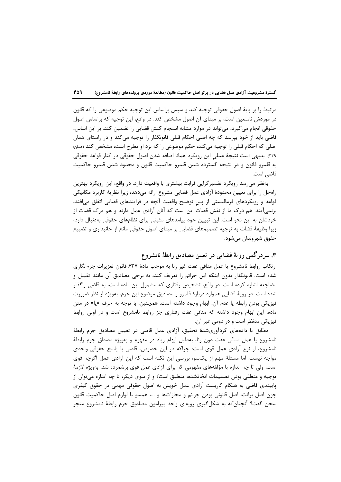مرتبط را بر پايهٔ اصول حقوقي توجيه كند و سپس براساس اين توجيه حكم موضوعي را كه قانون در موردش نامتعین است، بر مبنای آن اصول مشخص کند. در واقع، این توجیه که براساس اصول حقوقی انجام می گیرد، می تواند در موارد مشابه انسجام کنش قضایی را تضمین کند. بر این اساس، قاضی باید از خود بیرسد که چه اصلی احکام قبلی قانونگذار را توجیه می کند و در راستای همان اصلی که احکام قبلی را توجیه میکند، حکم موضوعی را که نزد او مطرح است، مشخص کند (همان: ٣٢٩). بديهي است نتيجهٔ عملي اين رويكرد همانا اضافه شدن اصول حقوقي در كنار قواعد حقوقي به قلمرو قانون و در نتيجه گسترده شدن قلمرو حاكميت قانون و محدود شدن قلمرو حاكميت قاضي است.

بهنظر میرسد رویکرد تفسیرگرایی قرابت بیشتری با واقعیت دارد. در واقع، این رویکرد بهترین رامحل را برای تعیین محدودهٔ آزادی عمل قضایی مشروع ارائه میدهد، زیرا نظریهٔ کاربرد مکانیکی قواعد و رویکردهای فرمالیستی از پس توضیح واقعیت آنچه در فرایندهای قضایی اتفاق میافتد، برنمی∫یند. هم درک ما از نقش قضات این است که آنان آزادی عمل دارند و هم درک قضات از خودشان به این نحو است. این تبیین خود پیامدهای مثبتی برای نظامهای حقوقی بهدنبال دارد، زیرا وظیفهٔ قضات به توجیه تصمیمهای قضایی بر مبنای اصول حقوقی مانع از جانبداری و تضییع حقوق شهروندان مي شود.

### ۳. سردرگمی رویهٔ قضایی در تعیین مصادیق رابطهٔ نامشروع

ارتكاب روابط نامشروع يا عمل منافى عفت غير زنا به موجب مادة ۶۳۷ قانون تعزيرات جرمانگارى شده است. قانونگذار بدون اینکه این جرائم را تعریف کند، به برخی مصادیق آن مانند تقیبل و مضاجعه اشاره کرده است. در واقع، تشخیص رفتاری که مشمول این ماده است، به قاضی واگذار شده است. در رویهٔ قضایی همواره دربارهٔ قلمرو و مصادیق موضوع این جرم، بهویژه از نظر ضرورت فيزيكي بودن رابطه يا عدم آن، ابهام وجود داشته است. همچنين، با توجه به حرف «يا» در متن ماده، این ابهام وجود داشته که منافی عفت رفتاری جز روابط نامشروع است و در اولی روابط فيزيکي مدنظر است و در دومي غير آن.

مطابق با دادههای گردآوریشدهٔ تحقیق، آزادی عمل قاضی در تعیین مصادیق جرم رابطهٔ نامشروع یا عمل منافی عفت دون زنا، بهدلیل ابهام زیاد در مفهوم و بهویژه مصداق جرم رابطهٔ نامشروع، از نوع آزادی عمل قوی است؛ چراکه در این خصوص، قاضی با پاسخ حقوقی واحدی مواجه نیست. اما مسئلهٔ مهم از یکسو، بررسی این نکته است که این آزادی عمل اگرچه قوی است، ولي تا چه اندازه با مؤلفههاي مفهومي كه براي آزادي عمل قوي برشمرده شد، بهويژه لازمهٔ توجیه و منطقی بودن تصمیمات اتخاذشده، منطبق است؟ و از سوی دیگر، تا چه اندازه میتوان از پایبندی قاضی به هنگام کاربست آزادی عمل خویش به اصول حقوقی مهمی در حقوق کیفری چون اصل برائت، اصل قانونی بودن جرائم و مجازاتها و …، همسو با لوازم اصل حاکمیت قانون سخن گفت؟ آنچنان که به شکل گیری رویهای واحد پیرامون مصادیق جرم رابطهٔ نامشروع منجر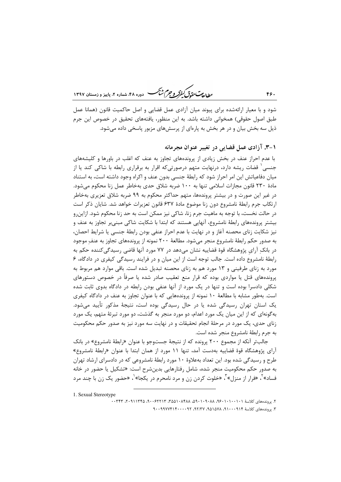ر<br>را داد مت متحدد گرفتر و جرم شنگ دوره ۴۸، شعاره ۲، پاییز و زمستان ۱۳۹۷

شود و با معیار ارائهشده برای پیوند میان آزادی عمل قضایی و اصل حاکمیت قانون (همانا عمل طبق اصول حقوقی) همخوانی داشته باشد. به این منظور، یافتههای تحقیق در خصوص این جرم ذیل سه بخش بیان و در هر بخش به پارهای از پرسشهای مزبور پاسخی داده می شود.

### ۰-۳. آزادی عمل قضایی در تغییر عنوان مجرمانه

با عدم احراز عنف در بخش زیادی از پروندههای تجاوز به عنف که اغلب در باورها و کلیشههای جنسی ِ قضات ریشه دارد، درنهایت متهم درصورتیکه اقرار به برقراری رابطه با شاکی کند یا از میان دفاعیاتش این امر احراز شود که رابطهٔ جنسی بدون عنف و اکراه وجود داشته است، به استناد مادهٔ ۲۳۰ قانون مجازات اسلامی تنها به ۱۰۰ ضربه شلاق حدی بهخاطر عمل زنا محکوم می شود. در غیر این صورت و در بیشتر پروندهها، متهم حداکثر محکوم به ۹۹ ضربه شلاق تعزیری بهخاطر ارتكاب جرم رابطهٔ نامشروع دون زنا موضوع مادهٔ ۶۳۷ قانون تعزیرات خواهد شد. شایان ذكر است در حالت نخست، با توجه به ماهیت جرم زنا، شاکی نیز ممکن است به حد زنا محکوم شود. ازاین٫و بیشتر پروندههای رابطهٔ نامشروع، آنهایی هستند که ابتدا با شکایت شاکی مبنی بر تجاوز به عنف و نیز شکایت زنای محصنه آغاز و در نهایت با عدم احراز عنفی بودن رابطهٔ جنسی یا شرایط احصان، به صدور حکم رابطهٔ نامشروع منجر میشود. مطالعهٔ ۲۰۰ نمونه از پروندههای تجاوز به عنف موجود در بانکِ آرای پژوهشگاه قوهٔ قضاییه نشان میدهد در ۷۷ مورد آنها قاضی رسیدگی کننده حکم به رابطهٔ نامشروع داده است. جالب توجه است از این میان و در فرایند رسیدگی کیفری در دادگاه، ۶ مورد به زنای طرفینی و ۱۳ مورد هم به زنای محصنه تبدیل شده است. باقی موارد هم مربوط به پروندههای قتل یا مواردی بوده که قرار منع تعقیب صادر شده یا صرفاً در خصوص دستورهای شکلی دادسرا بوده است و تنها در یک مورد از آنها عنفی بودن رابطه در دادگاه بدوی ثابت شده است. بهطور مشابه با مطالعهٔ ۱۰ نمونه از پروندههایی که با عنوان تجاوز به عنف در دادگاه کیفری یک استان تهران رسیدگی شده یا در حال رسیدگی بوده است، نتیجهٔ مذکور تأیید می شود. بهگونهای که از این میان یک مورد اعدام، دو مورد منجر به گذشت، دو مورد تبرئهٔ متهم، یک مورد زنای حدی، یک مورد در مرحلهٔ انجام تحقیقات و در نهایت سه مورد نیز به صدور حکم محکومیت به جرم رابطهٔ نامشروع منجر شده است.

جالب تر آنکه از مجموع ۲۰۰ پرونده که از نتیجهٔ جستوجو با عنوان «رابطهٔ نامشروع» در بانک آرای پژوهشگاه قوهٔ قضاییه بهدست آمد، تنها ۱۱ مورد از همان ابتدا با عنوان «رابطهٔ نامشروع» طرح و رسیدگی شده بود. این تعداد بهعلاوهٔ ۱۰ مورد رابطهٔ نامشروعی که در دادسرای ارشاد تهران به صدور حکم محکومیت منجر شده، شامل رفتارهایی بدینشرح است: «تشکیل یا حضور در خانه فساد»<sup>۲</sup>، «فرار از منزل»<sup>۲</sup>، «خلوت کردن زن و مرد نامحرم در یکجا»<sup>۱</sup>، «حضور یک زن با چند مرد

1. Sexual Stereotype

٢. يووندههاي كلاسة ١٠١٠٠١٠١٠٩٠، ٨٨٠٩٤، ٩٤٠٨٨٠٨٨، ٨٨٩٨٠١٥٥٨، ٣٢٢١٣، ٢٠٩١١٢٤٨، ٢٠٣٣٢، ۳. پروندههای کلاسهٔ ۹۱۰۰۰۹۱۴، ۱۵۱۵۷۸، ۹۲/۳۷، ۹۰۰۹۹۷۷۴۱۴۰۰۰۰۹۲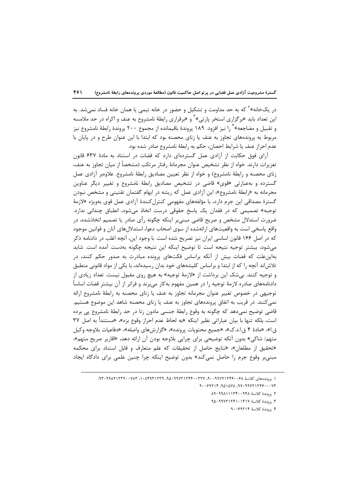در یکخانه»<sup>۲</sup> که به حد مداومت و تشکیل و حضور در خانه تیمی یا همان خانه فساد نمی شد. به این تعداد باید «برگزاری استخر پارتی»<sup>۲</sup> و «برقراری رابطهٔ نامشروع به عنف و اکراه در حد ملامسه و تقبیل و مضاجعه»<sup>۲</sup> را نیز افزود. ۱۸۹ پروندهٔ باقیمانده از مجموع ۲۰۰ پروندهٔ رابطهٔ نامشروع نیز مربوط به پروندههای تجاوز به عنف یا زنای محصنه بود که ابتدا با این عنوان طرح و در پایان با عدم احراز عنف يا شرايط احصان، حكم به رابطهٔ نامشروع صادر شده بود.

آرای فوق حکایت از آزادی عمل گستردهای دارد که قضات در استناد به مادهٔ ۶۳۷ قانون تعزیرات دارند. خواه از نظر تشخیص عنوان مجرمانهٔ رفتار مرتکب (مشخصاً از میان تجاوز به عنف، زنای محصنه و رابطهٔ نامشروع) و خواه از نظر تعیین مصادیق رابطهٔ نامشروع. علاوهبر آزادی عمل گسترده و بهعبارتی «قوی» قاضی در تشخیص مصادیق رابطهٔ نامشروع و تغییر دیگر عناوین مجرمانه به «رابطهٔ نامشروع»، این آزادی عمل که ریشه در ابهام گفتمان تقنینی و مشخص نبودن گسترهٔ مصداقی این جرم دارد، با مؤلفههای مفهومی کنترل *کن*ندهٔ آزادی عمل قوی بهویژه «لازمهٔ توجیه» تصمیمی که در فقدان یک پاسخ حقوقی درست اتخاذ میشود، انطباق چندانی ندارد. ضرورت استدلال مشخص و صریح قاضی مبنیٖبر اینکه چگونه رأی صادر یا تصمیم اتخاذشده، در واقع پاسخی است به واقعیتهای ارائهشده از سوی اصحاب دعوا، استدلال های آنان و قوانین موجود که در اصل ۱۶۶ قانون اساسی ایران نیز تصریح شده است. با وجود این، آنچه اغلب در دادنامه ذکر می شود، بیشتر توجیه نتیجه است تا توضیح اینکه این نتیجه چگونه بهدست آمده است. شاید بهاین علت که قضات بیش از آنکه براساس فکتهای پرونده مبادرت به صدور حکم کنند، در تلاشاند آنچه را که از ابتدا و براساس کلیشههای خود بدان رسیدهاند، با یکی از مواد قانونی منطبق و توجیه کنند. بی شک این برداشت از «لازمهٔ توجیه» به هیچ روی مقبول نیست. تعداد زیادی از دادنامههای صادره لازمهٔ توجیه را در همین مفهوم بهکار می,برند و فراتر از آن بیشتر قضات اساساً توجیهی در خصوص تغییر عنوان مجرمانه تجاوز به عنف یا زنای محصنه به رابطهٔ نامشروع ارائه نمی کنند. در قریب به اتفاق پروندههای تجاوز به عنف یا زنای محصنه شاهد این موضوع هستیم. قاضی توضیح نمی،دهد که چگونه به وقوع رابطهٔ جنسی مادون زنا در حد رابطهٔ نامشروع پی برده است، بلكه تنها با بيان عباراتي نظير اينكه «به لحاظ عدم احراز وقوع بزه»، «مستندأ به اصل ٣٧ ق.ا»، «مادهٔ ۴ ق.ا.د.ک»، «جمیع محتویات پرونده»، «گزارشهای واصله»، «دفاعیات بلاوجه وکیل متهم/ شاكي» بدون آنكه توضيحي براي چرايي بلاوجه بودن آن ارائه دهد، «اقارير صريح متهم»، «تحقيق از مطلعان»، «نتايج حاصل از تحقيقات كه علم متعارف و قابل استناد براي محكمه مبنیبر وقوع جرم را حاصل نمیکند» بدون توضیح اینکه چرا چنین علمی برای دادگاه ایجاد

١. پروندههای کلاسهٔ ۴۶۰۰۶۹۲۲۲۲۴۶۰۰۴، ۲۲۷۰۰۴۴۰۰۳۲۷، ۴۵۰۹۲۲۲۲۴۹۰۰۷۸۳، ۳۰۲۸۲۱۲۳۹۰۰۳۸۳.

۴. پروندهٔ کلاسهٔ ۹۰۰۶۹۲۱۴

٢. يروندة كلاسة ١٣٢٠٠٩٤٨١١١٣٢

٣. يووندة كلاسة ٩٥٠٩٩٧٢١٢٤١٧٣١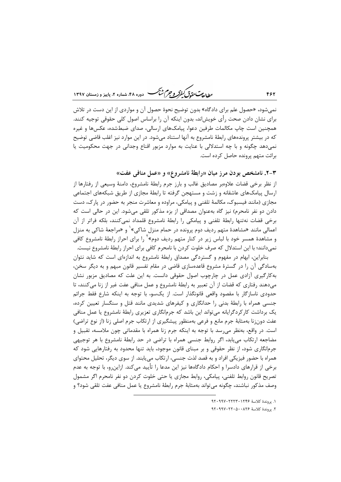ر<br>را داد مت متحدد گرفتر و جرم شنگ دوره ۴۸، شعاره ۲، پاییز و زمستان ۱۳۹۷

نم<sub>،</sub>شود، «حصول علم برای دادگاه» بدون توضیح نحوهٔ حصول آن و مواردی از این دست در تلاش برای نشان دادن صحت رأی خویش|ند، بدون اینکه آن را براساس اصول کلی حقوقی توجیه کنند. همچنین است چاپ مکالمات طرفین دعوا، پیامکهای ارسالی، صدای ضبطشده، عکسها و غیره که در بیشتر پروندههای رابطهٔ نامشروع به آنها استناد میشود. در این موارد نیز اغلب قاضی توضیح نمی دهد چگونه و با چه استدلالی با عنایت به موارد مزبور اقناع وجدانی در جهت محکومیت یا برائت متهم پرونده حاصل کرده است.

۳-۲. نامشخص بودن مرز میان «رابطهٔ نامشروع» و «عمل منافی عفت»

از نظر برخی قضات علاوهبر مصادیق غالب و بارز جرم رابطهٔ نامشروع، دامنهٔ وسیعی از رفتارها از ارسال پیامکهای عاشقانه و زشت و مستهجن گرفته تا رابطهٔ مجازی از طریق شبکههای اجتماعی مجازی (مانند فیسبوک، مکالمهٔ تلفنی و پیامکی، مراوده و معاشرت منجر به حضور در پارک، دست دادن دو نفر نامحرم) نیز گاه بهعنوان مصداقی از بزه مذکور تلقی می شود. این در حالی است که برخی قضات نهتنها رابطهٔ تلفنی و پیامکی را رابطهٔ نامشروع قلمداد نمیکنند، بلکه فراتر از آن اعمالي مانند «مشاهدهٔ متهم رديف دوم پرونده در حمام منزل شاكي»<sup>۱</sup> و «مراجعهٔ شاكي به منزل و مشاهدهٔ همسر خود با لباس زیر در کنار متهم ردیف دوم»<sup>۱</sup> را برای احراز رابطهٔ نامشروع کافی نمی،دانند؛ با این استدلال که صرف خلوت کردن با نامحرم کافی برای احراز رابطهٔ نامشروع نیست.

بنابراین، ابهام در مفهوم و گستردگی مصداق رابطهٔ نامشروع به اندازهای است که شاید نتوان بهسادگی آن را در گسترهٔ مشروع قاعدهسازی قاضی در مقام تفسیر قانون مبهم و به دیگر سخن، به کارگیری آزادی عمل در چارچوب اصول حقوقی دانست. به این علت که مصادیق مزبور نشان می دهند رفتاری که قضات از آن تعبیر به رابطهٔ نامشروع و عمل منافی عفت غیر از زنا می کنند، تا حدودی ناسازگار با مقصود واقعی قانونگذار است. از یکسو، با توجه به اینکه شارع فقط جرائم جنسی همراه با رابطهٔ بدنی را حدانگاری و کیفرهای شدیدی مانند قتل و سنگسار تعیین کرده، یک برداشت کارکردگرایانه میتواند این باشد که جرمانگاری تعزیری رابطهٔ نامشروع یا عمل منافی عفت دونزنا بهمثابهٔ جرم مانع و فرعی بهمنظور پیشگیری از ارتکاب جرم اصلی زنا (از نوع تراضی) است. در واقع، بهنظر می رسد با توجه به اینکه جرم زنا همراه با مقدماتی چون ملامسه، تقبیل و مضاجعه ارتکاب می یابد، اگر روابط جنسی همراه با تراضی در حد رابطهٔ نامشروع با هر توجیهی جرمانگاری شود، از نظر حقوقی و بر مبنای قانون موجود، باید تنها محدود به رفتارهایی شود که همراه با حضور فیزیکی افراد و به قصد لذت جنسی، ارتکاب می،یابند. از سوی دیگر، تحلیل محتوای برخی از قرارهای دادسرا و احکام دادگاهها نیز این مدعا را تأیید می کند. ازاین٫و، با توجه به عدم تصریح قانون روابط تلفنی، پیامکی، روابط مجازی یا حتی خلوت کردن دو نفر نامحرم اگر مشمول وصف مذكور نباشند، چگونه مي تواند بهمثابهٔ جرم رابطهٔ نامشروع يا عمل منافي عفت تلقى شود؟ و

١. يووندة كلاسة ١٢٤۶٠١٢٣٣٠١٢٢

٢. يروندة كلاسة ٩٢٠٩٧٠٢٢٠ ٠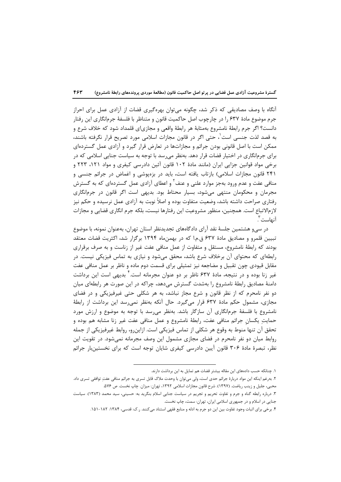آنگاه با وصف مصادیقی که ذکر شد، چگونه می توان بهرهگیری قضات از آزادی عمل برای احراز جرم موضوع مادهٔ ۶۳۷ را در چارچوب اصل حاکمیت قانون و متناظر با فلسفهٔ جرمانگاری این رفتار دانست؟ اگر جرم رابطهٔ نامشروع بهمثابهٔ هر رابطهٔ واقعی و مجازیای قلمداد شود که خلاف شرع و به قصد لذت جنسی است ٰ، حتی اگر در قانون مجازات اسلامی مورد تصریح قرار نگرفته باشند، ممکن است با اصل قانونی بودن جرائم و مجازاتها در تعارض قرار گیرد و آزادی عمل گستردهای برای جرمانگاری در اختیار قضات قرار دهد. بهنظر میرسد با توجه به سیاست جنایی اسلامی که در برخی مواد قوانین جزایی ایران (مانند مادهٔ ۱۰۲ قانون آئین دادرسی کیفری و مواد ۱۲۱، ۲۲۳ و ۲۴۱ قانون مجازات اسلامی) بازتاب یافته است، باید در بزهپوشی و اغماض در جرائم جنسی و منافی عفت و عدم ورود بهجز موارد علنی و عنف<sup>۲</sup> و اعطای آزادی عمل گستردهای که به گسترش مجرمان و محکومان منتهی می شود، بسیار محتاط بود. بدیهی است اگر قانون در جرمانگاری رفتاری صراحت داشته باشد، وضعیت متفاوت بوده و اصلاً نوبت به آزادی عمل نرسیده و حکم نیز لازمالاتباع است. همچنین، منظور مشروعیت این رفتارها نیست، بلکه جرم انگاری قضایی و مجازات آنهاست `.

در سے و هشتمین جلسهٔ نقد آرای دادگاههای تجدیدنظر استان تهران، بهعنوان نمونه، با موضوع تبیین قلمرو و مصادیق مادهٔ ۶۳۷ ق.م.ا که در بهمنِماه ۱۳۹۴ برگزار شد، اکثریت قضات معتقد بودند که رابطهٔ نامشروع، مستقل و متفاوت از عمل منافی عفت غیر از زناست و به صرف برقراری ٫ابطهای که محتوای آن برخلاف شرع باشد، محقق میشود و نیازی به تماس فیزیکی نیست. در مقابل قیودی چون تقبیل و مضاجعه نیز تمثیلی برای قسمت دوم ماده و ناظر بر عمل منافی عفت غیر زنا بوده و در نتیجه، مادهٔ ۶۳۷ ناظر بر دو عنوان مجرمانه است. ٔ بدیهی است این برداشت دامنهٔ مصادیق رابطهٔ نامشروع را بهشدت گسترش می دهد، چراکه در این صورت هر رابطهای میان دو نفر نامحرم که از نظر قانون و شرع مجاز نباشد، به هر شکلی حتی غیرفیزیکی و در فضای مجازی، مشمول حکم مادهٔ ۶۳۷ قرار میگیرد. حال آنکه بهنظر نمی رسد این برداشت از رابطهٔ نامشروع با فلسفهٔ جرمانگاری آن سازگار باشد. بهنظر میرسد با توجه به موضوع و ارزش مورد حمايتِ يكسان جرائم منافي عفت، رابطهٔ نامشروع و عمل منافي عفت غير زنا مشابه هم بوده و تحقق آن تنها منوط به وقوع هر شكلي از تماس فيزيكي است. ازاينرو، روابط غيرفيزيكي از جمله روابط میان دو نفر نامحرم در فضای مجازی مشمول این وصف مجرمانه نمیشود. در تقویت این نظر، تبصرهٔ مادهٔ ۳۰۶ قانون آیین دادرسی کیفری شایان توجه است که برای نخستینبار جرائم

١. چنانكه حسب دادههای این مقاله بیشتر قضات هم تمایل به این برداشت دارند.

٢. بهرغم اينكه اين مواد دربارهٔ جرائم حدى است، ولي ميتوان با وحدت ملاک قابل تسرى به جرائم منافي عفتِ توافقي تسرى داد. محبي، جليل و زينب رياضت. (١٣٩٧). شرح قانون مجازات اسلامي ١٣٩٢، تهران: ميزان. چاپ نخست. ص ٥٧۶.

۳. درباره رابطه گناه و جرم و تفاوت تحریم و تجریم در سیاست جنایی اسلام بنگرید به: حسینی، سید محمد (۱۳۸۳). سیاست جنایی در اسلام و در جمهوری اسلامی ایران، تهران: سمت، چاپ نخست.

۴. برخی برای اثبات وجود تفاوت بین این دو جرم به ادله و منابع فقهی استناد میکنند. ر.ک: قدسی، ۱۳۸۴: ۱۸۲-۱۵۱.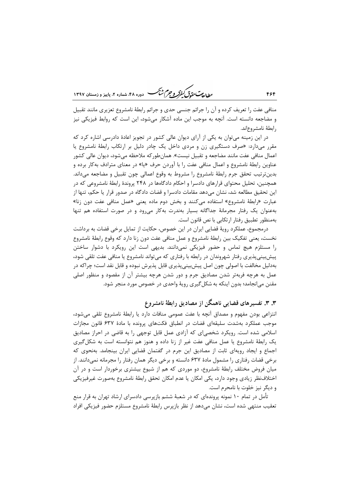ر ای<del>د آن</del> در در در در این کشتی ده ده ۴۸، شهاره ۲، مامیز و ذمستان ۱۳۹۷

منافی عفت را تعریف کرده و آن را جرائم جنسی حدی و جرائم رابطهٔ نامشروع تعزیری مانند تقبیل و مضاجعه دانسته است. آنچه به موجب این ماده آشکار میشود، این است که روابط فیزیکی نیز رابطة نامشروع اند.

در این زمینه می توان به یکی از آرای دیوان عالی کشور در تجویز اعادهٔ دادرسی اشاره کرد که مقرر میدارد: «صرف دستگیری زن و مردی داخل یک چادر دلیل بر ارتکاب رابطهٔ نامشروع یا اعمال منافی عفت مانند مضاجعه و تقبیل نیست». همانطور که ملاحظه می شود، دیوان عالی کشور عناوین رابطهٔ نامشروع و اعمال منافی عفت را با آوردن حرف «یا» در معنای مترادف به کار برده و بدين ترتيب تحقق جرم رابطة نامشروع را مشروط به وقوع اعمالي چون تقبيل و مضاجعه مىداند. همچنین، تحلیل محتوای قرارهای دادسرا و احکام دادگاهها در ۲۴۸ پروندهٔ رابطهٔ نامشروعی که در این تحقیق مطالعه شد، نشان میدهد مقامات دادسرا و قضات دادگاه در صدور قرار یا حکم، تنها از عبارت «رابطهٔ نامشروع» استفاده میکنند و بخش دوم ماده یعنی «عمل منافی عفت دون زنا» به عنوان یک رفتار مجرمانهٔ جداگانه بسیار بهندرت به کار می رود و در صورت استفاده هم تنها بەمنظور تطبیق رفتار ارتکابی با نص قانون است.

درمجموع، عملکرد رویهٔ قضایی ایران در این خصوص، حکایت از تمایل برخی قضات به برداشت نخست، يعني تفكيك بين رابطة نامشروع و عمل منافي عفت دون زنا دارد كه وقوع رابطة نامشروع را مستلزم هیچ تماس و حضور فیزیکی نمیدانند. بدیهی است این رویکرد با دشوار ساختن پیش بینی پذیری رفتار شهروندان در رابطه با رفتاری که میتواند نامشروع یا منافی عفت تلقی شود، بهدلیل مخالفت با اصولی چون اصل پیش بینی پذیری قابل پذیرش نبوده و قابل نقد است؛ چراکه در عمل به هرچه فربهتر شدن مصادیق جرم و دور شدن هرچه بیشتر آن از مقصود و منظور اصلی مقنن می|نجامد؛ بدون اینکه به شکل گیری رویهٔ واحدی در خصوص مورد منجر شود.

## ۳. ۳. تفسیرهای قضایی ناهمگن از مصادیق رابطهٔ نامشروع

انتزاعی بودن مفهوم و مصداق آنچه با عفت عمومی منافات دارد یا رابطهٔ نامشروع تلقی میشود، موجب عملکرد بهشدت سلیقهای قضات در انطباق فکتهای پرونده با مادهٔ ۶۳۷ قانون مجازات اسلامی شده است. رویکرد شخصیای که آزادی عمل قابل توجهی را به قاضی در احراز مصادیق یک رابطهٔ نامشروع یا عمل منافی عفت غیر از زنا داده و هنوز هم نتوانسته است به شکل گیری اجماع و ایجاد رویهای ثابت از مصادیق این جرم در گفتمان قضایی ایران بینجامد. بهنحوی که برخی قضات رفتاری را مشمول مادهٔ ۶۳۷ دانسته و برخی دیگر همان رفتار را مجرمانه نمیدانند. از میان فروض مختلف رابطهٔ نامشروع، دو موردی که هم از شیوع بیشتری برخوردار است و در آن اختلافنظر زيادي وجود دارد، يكي امكان يا عدم امكان تحقق رابطة نامشروع بهصورت غيرفيزيكي و دیگر نیز خلوت با نامحرم است.

تأمل در تمام ۱۰ نمونه پروندهای که در شعبهٔ ششم بازپرسی دادسرای ارشاد تهران به قرار منع تعقیب منتھے شدہ است، نشان مے دھد از نظر بازیرس رابطهٔ نامشروع مستلزم حضور فیزیکی افراد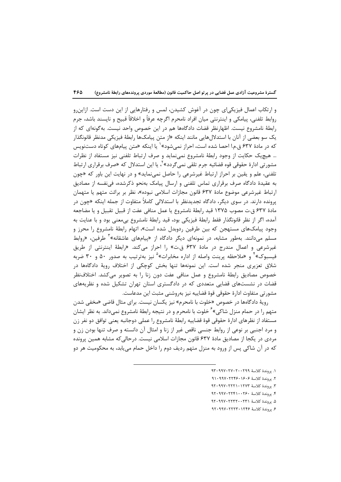و ارتکاب اعمال فیزیکی|ی چون در آغوش کشیدن، لمس و رفتارهایی از این دست است. ازاین٫و روابط تلفني، پيامكي و اينترنتي ميان افراد نامحرم اگرچه عرفاً و اخلاقاً قبيح و ناپسند باشد، جرم رابطهٔ نامشروع نیست. اظهارنظر قضات دادگاهها هم در این خصوص واحد نیست. بهگونهای که از یک سو بعضی از آنان با استدلالهایی مانند اینکه «از متن پیامکها رابطهٔ فیزیکی مدنظر قانونگذار که در مادهٔ ۶۳۷ ق.م.ا احصا شده است، احراز نمیشود»<sup>۱</sup> یا اینکه «متن پیامهای کوتاه دستنویس … هیچیک حکایت از وجود رابطهٔ نامشروع نمینماید و صرف ارتباط تلفنی نیز مستفاد از نظرات مشورتی ادارۂ حقوقی قوہ قضائیه جرم تلقی نمی¢ردد» <sup>۲</sup>، یا این استدلال که «صرف برقراری ارتباط تلفنی، علم و یقین بر احراز ارتباط غیرشرعی را حاصل نمینماید» و در نهایت این باور که «چون به عقیدهٔ دادگاه صرف برقراری تماس تلفنی و ارسال پیامک بهنحو ذکرشده، فینفسه از مصادیق ارتباط غیرشرعی موضوع مادهٔ ۶۳۷ قانون مجازات اسلامی نبوده»، نظر بر برائت متهم یا متهمان پرونده دارند. در سوی دیگر، دادگاه تجدیدنظر با استدلالی کاملاً متفاوت از جمله اینکه «چون در مادة ۶۳۷ ق.ت مصوب ۱۳۷۵ قید رابطهٔ نامشروع یا عمل منافی عفت از قبیل تقبیل و یا مضاجعه آمده، اگر از نظر قانونگذار فقط رابطهٔ فیزیکی بود، قید رابطهٔ نامشروع بیمعنی بود و با عنایت به وجود پیامکـهای مستهجن که بین طرفین ,دوبدل شده است»، اتهام ,ابطهٔ نامشروع ,ا محرز و مسلم میدانند. بهطور مشابه، در نمونهای دیگر دادگاه از «پیامهای عاشقانه»<sup>۳</sup> طرفین، «روابط غیرشرعی و اعمال مندرج در مادهٔ ۶۳۷ ق.ت» را احراز میکند. «رابطهٔ اینترنتی از طریق فیسبوک» ٔ و «ملاحظه پرینت واصله از اداره مخابرات» ٛ نیز بهترتیب به صدور ۵۰ و ۳۰ ضربه شلاق تعزیری منجر شده است. این نمونهها تنها بخش کوچکی از اختلاف رویهٔ دادگاهها در خصوص مصادیق رابطهٔ نامشروع و عمل منافی عفت دون زنا را به تصویر میکشد. اختلافنظر قضات در نشستهای قضایی متعددی که در دادگستری استان تهران تشکیل شده و نظریههای مشورتي متفاوت ادارة حقوقي قوة قضاييه نيز بهروشني مثبت اين مدعاست.

رويهٔ دادگاهها در خصوص «خلوت با نامحرم» نيز يكسان نيست. براي مثال قاضي «مخفى شدن متهم را در حمام منزل شاکی»<sup>۶</sup> خلوت با نامحرم و در نتیجه رابطهٔ نامشروع نمیداند. به نظر ایشان مستفاد از نظرهای ادارهٔ حقوقی قوهٔ قضاییه رابطهٔ نامشروع را عملی دوجانبه یعنی توافق دو نفر زن و مرد اجنبي بر نوعي از روابط جنسي ناقص غير از زنا و امثال آن دانسته و صرف تنها بودن زن و مردی در یکجا از مصادیق مادهٔ ۶۳۷ قانون مجازات اسلامی نیست. درحالی که مشابه همین پرونده که در آن شاکی پس از ورود به منزل متهم ردیف دوم را داخل حمام می،پابد، به محکومیت هر دو

- ١. يووندة كلاسة ٩٣٠٩٠٢٧٠٢٧٠٢٩
- ٢. پروندهٔ کلاسهٔ ۹۱۰۹۹۷۰۲۲۴۶۰۱۶۰۶
- ٣. يووندة كلاسة ١٢٧٣١٠١٢٢٣١
- ۴. يووندة كلاسة ١٢٤٠-١٩٢٠-٩٢٠
- ۵. يروندة كلاسة ۹۲۰۹۹۷۰۲۲۳۲۰۰۲۳۱
- ۶. يووندة كلاسة ۹۲۰۹۹۷۰۲۲۲۳۰۱۲۴۶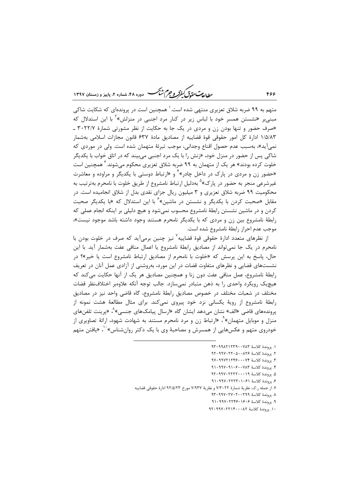بطالة متءة وسكنفركه وجرم شبحس ۲ دوره ۴۸، شماره ۲، بابیز و زمستان ۱۳۹۷

متهم به ۹۹ ضربه شلاق تعزیری منتهی شده است.<sup>۱</sup> همچنین است در پروندهای که شکایت شاکی مبنیبر «نشستن همسر خود با لباس زیر در کنار مرد اجنبی در منزلش»<sup>۲</sup> با این استدلال که «صرف حضور و تنها بودن زن و مردی در یک جا به حکایت از نظر مشورتی شمارهٔ ۳۰۲۲/۷ ـ ١/۵/٨٣ ادارة كل امور حقوقي قوة قضاييه از مصاديق مادة ۶۳۷ قانون مجازات اسلامي بهشمار نمي[ّيد»، بهسبب عدم حصول اقناع وجداني، موجب تبرئة متهمان شده است. ولي در موردي كه شاکي پس از حضور در منزل خود، «زنش را با يک مرد اجنبي مي.بيند که در اتاق خواب با يکديگر خلوت کرده بودند» هر یک از متهمان به ۹۹ ضربه شلاق تعزیری محکوم می شوند.<sup>۲</sup> همچنین است «حضور زن و مردی در پارک در داخل چادر»<sup>۲</sup> و «ارتباط دوستی با یکدیگر و مراوده و معاشرت غیرشرعی منجر به حضور در پارک<sup>» ۵</sup> بهدلیل ارتباط نامشروع از طریق خلوت با نامحرم بهترتیب به محکومیت ۹۹ ضربه شلاق تعزیری و ۳ میلیون ریال جزای نقدی بدل از شلاق انجامیده است. در مقابل «صحبت کردن با یکدیگر و نشستن در ماشین»<sup>۶</sup> با این استدلال که «با یکدیگر صحبت کردن و در ماشین نشستن رابطهٔ نامشروع محسوب نمیشود و هیچ دلیلی بر اینکه انجام عملی که رابطهٔ نامشروع بین زن و مردی که با یکدیگر نامحرم هستند وجود داشته باشد موجود نیست»، موجب عدم احراز رابطهٔ نامشروع شده است.

از نظرهای متعدد ادارهٔ حقوقی قوهٔ قضاییه<sup>۷</sup> نیز چنین برمیآید که صرف در خلوت بودن با نامحرم در یک جا نمی تواند از مصادیق رابطهٔ نامشروع یا اعمال منافی عفت بهشمار آید. با این حال، پاسخ به این پرسش که «خلوت با نامحرم از مصادیق ارتباط نامشروع است یا خیر»؟ در نشستهای قضایی و نظرهای متفاوت قضات در این مورد، بهروشنی از آزادی عمل آنان در تعریف رابطهٔ نامشروع، عمل منافی عفت دون زنا و همچنین مصادیق هر یک از آنها حکایت میکند که هیچیک رویکرد واحدی را به ذهن متبادر نمی سازد. جالب توجه آنکه علاوهبر اختلافنظر قضات مختلف در شعبات مختلف در خصوص مصاديق رابطهٔ نامشروع، گاه قاضی واحد نیز در مصادیق رابطهٔ نامشروع از رویهٔ یکسانی نزد خود پیروی نمیکند. برای مثال مطالعهٔ هشت نمونه از پروندههای قاضی «الف» نشان می۵هد ایشان گاه «ارسال پیامکهای جنسی»<sup>۹</sup>، «پرینت تلفنهای منزل و موبایل متهمان»<sup>۹</sup>، «ارتباط زن و مرد نامحرم مستند به شهادت شهود، ارائهٔ تصاویری از خودروی متهم و عکسهایی از همسرش و مصاحبهٔ وی با یک دکتر روانشناس»<sup>۰٬</sup>۰ «یافتن متهم

- ١. يروندة كلاسة ٩٣٠٩١٢٢٣٩٠٠٧٨٣
- ٢. يروندة كلاسة ٩٢٠٩٧٠٢٢٠ ٠
- ٣. يروندة كلاسة ٩٧٠٩٩٧٢١٢۴۶٠٠٠٧٣
- ۴. پروندهٔ کلاسهٔ ۹۱۰۶۰۰۷۸۳
- ۵. يووندة كلاسة ۹۲۰۹۹۷۰۲۲۲۲۰۰۰۱۹
- ۶. بووندة كلاسة ۹۱۰۹۹۷۰۲۲۲۳۰۱۰۶۱
- ٧. از جمله ر.ک: نظريهٔ شمارهٔ ٧/٣٠٢٢ و نظريهٔ ٧/٩٣٧ مورخ ٩٢/۵/٢٣ ادارهٔ حقوقي قضاييه
	- ٨. يروندة كلاسة ٩٣٠-٢٧٠٢٠-٩٣٠ ٩٣٠
	- ۹. يروندة كلاسة ۹۱۰۹۹۷۰۲۲۴۶۰۱۶۰۶
	- ١٠. يروندة كلاسة ٩٢٠٩٩٧٠٢٢١۴٠٠٠٨٢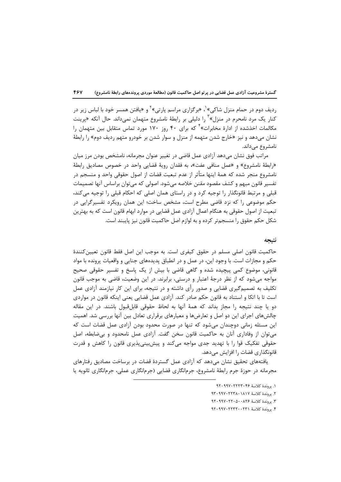ردیف دوم در حمام منزل شاکی»<sup>۱</sup>، «برگزاری مراسم پارتی»<sup>۲</sup> و «یافتن همسر خود با لباس زیر در کنار یک مرد نامحرم در منزل» ٔ را دلیلی بر رابطهٔ نامشروع متهمان نمیداند. حال آنکه «پرینت مکالمات اخذشده از ادارهٔ مخابرات»<sup>۲</sup> که برای ۴۰ روز ۱۷۰ مورد تماس متقابل بین متهمان را نشان می،دهد و نیز «خارج شدن متهمه از منزل و سوار شدن بر خودرو متهم ردیف دوم» را رابطهٔ نامشروع مىداند.

مراتب فوق نشان میدهد آزادی عمل قاضی در تغییر عنوان مجرمانه، نامشخص بودن مرز میان «رابطهٔ نامشروع» و «عمل منافی عفت»، به فقدان رویهٔ قضایی واحد در خصوص مصادیق رابطهٔ نامشروع منجر شده که همهٔ اینها متأثر از عدم تبعیت قضات از اصول حقوقی واحد و منسجم در تفسیر قانون مبهم و کشف مقصود مقنن خلاصه میشود. اصولی که میتوان براساس آنها تصمیمات قبلی و مرتبط قانونگذار را توجیه کرد و در راستای همان اصلی که احکام قبلی را توجیه می کند، حکم موضوعی را که نزد قاضی مطرح است، مشخص ساخت؛ این همان رویکرد تفسیرگرایی در تبعیت از اصول حقوقی به هنگام اعمال آزادی عمل قضایی در موارد ابهام قانون است که به بهترین شکل حکم حقوق را منسجمتر کرده و به لوازم اصل حاکمیت قانون نیز پایبند است.

#### نتىجە

حاكميت قانون اصلي مسلم در حقوق كيفري است. به موجب اين اصل فقط قانون تعيينكنندهٔ حکم و مجازات است. با وجود این، در عمل و در انطباق پدیدههای جنایی و واقعیات پرونده با مواد قانونی، موضوع کمی پیچیده شده و گاهی قاضی با بیش از یک پاسخ و تفسیر حقوقی صحیح مواجه میشود که از نظر درجهٔ اعتبار و درستی، برابرند. در این وضعیت، قاضی به موجب قانون تکلیف به تصمیم گیری قضایی و صدور رأی داشته و در نتیجه، برای این کار نیازمند آزادی عمل است تا با اتکا و استناد به قانون حکم صادر کند. آزادی عمل قضایی یعنی اینکه قانون در مواردی دو یا چند نتیجه را مجاز بداند که همهٔ آنها به لحاظ حقوقی قابلقبول باشند. در این مقاله چالشهای اجرای این دو اصل و تعارضها و معیارهای برقراری تعادل بین آنها بررسی شد. اهمیت این مسئله زمانی دوچندان میشود که تنها در صورت محدود بودن آزادی عمل قضات است که میتوان از وفاداری آنان به حاکمیت قانون سخن گفت. آزادی عمل نامحدود و بیضابطه، اصل حقوقی تفکیک قوا را با تهدید جدی مواجه میکند و پیشبینیپذیری قانون را کاهش و قدرت قانونگذاری قضات را افزایش میدهد.

یافتههای تحقیق نشان میدهد که آزادی عمل گستردهٔ قضات در برساخت مصادیق رفتارهای مجرمانه در حوزهٔ جرم رابطهٔ نامشروع، جرمانگاری قضایی (جرمانگاری عملی، جرمانگاری ثانویه یا

١. يروندة كلاسة ٢٤ ٢٢٢٣٠٢٢٧٠

٢. يروندة كلاسة ١٨١٧ ٢٢٣٨٠١٩٧٠ ٩٣٠

٣. يووندة كلاسة ٩٢٠٩٧٠٢٢٠ ٩٢٠٩٩٧٠

۴. يروندة كلاسة ٢٣١٠٠٢٣٢٠٠٢٣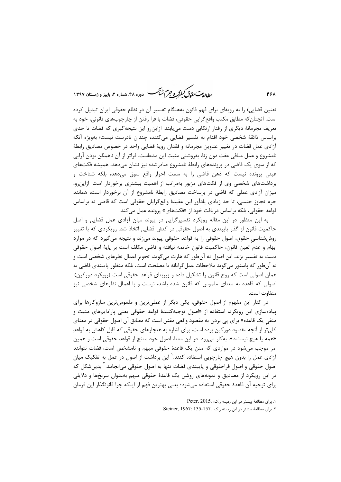ر<br>روان متحد*ق کنفرکو جرم شنگ* دوره ۴۸، شماره ۲، باییز و زمستان ۱۳۹۷

تقنین قضایی) را به رویهای برای فهم قانون بههنگام تفسیر آن در نظام حقوقی ایران تبدیل کرده است. آنچنان که مطابق مکتب واقع گرایی حقوقی، قضات با فرا رفتن از چارچوبهای قانونی، خود به تعریف مجرمانهٔ دیگری از رفتار ارتکابی دست می یابند. ازاین و این نتیجه گیری که قضات تا حدی براساس ذائقهٔ شخصی خود اقدام به تفسیر قضایی می کنند، چندان نادرست نیست؛ بهویژه آنکه آزادی عمل قضات در تغییر عناوین مجرمانه و فقدان رویهٔ قضایی واحد در خصوص مصادیق رابطهٔ نامشروع و عمل منافی عفت دون زنا، بهروشنی مثبت این مدعاست. فراتر از آن ناهمگن بودن آرایی که از سوی یک قاضی در پروندههای رابطهٔ نامشروع صادرشده نیز نشان میدهد، همیشه فکتهای عینی پرونده نیست که ذهن قاضی را به سمت احراز واقع سوق میدهد، بلکه شناخت و برداشتهای شخصی وی از فکتهای مزبور بهمراتب از اهمیت بیشتری برخوردار است. ازاین رو، میزان آزادی عملی که قاضی در برساخت مصادیق رابطهٔ نامشروع از آن برخوردار است، همانند جرم تجاوز جنسی، تا حد زیادی یادآور این عقیدهٔ واقع گرایان حقوقی است که قاضی نه براساس قواعد حقوقی، بلکه براساس دریافت خود از «فکتهای» پرونده عمل می کند.

به این منظور در این مقاله رویکرد تفسیرگرایی در پیوند میان آزادی عمل قضایی و اصل حاکمیت قانون از گذر پایبندی به اصول حقوقی در کنش قضایی اتخاذ شد. رویکردی که با تغییر روششناسی حقوق، اصول حقوقی را به قواعد حقوقی پیوند میزند و نتیجه میگیرد که در موارد ابهام و عدم تعین قانون، حاکمیت قانون خاتمه نیافته و قاضی مکلف است بر پایهٔ اصول حقوقی دست به تفسیر بزند. این اصول نه آنطور که هارت میگوید، تجویز اعمال نظرهای شخصی است و نه آنطور که پاسنور میگوید ملاحظات عمل گرایانه یا مصلحت است، بلکه منظور پایبندی قاضی به همان اصولی است که روح قانون را تشکیل داده و زیربنای قواعد حقوقی است (رویکرد دورکین). اصولی که قاعده به معنای ملموس که قانون شده باشد، نیست و با اعمال نظرهای شخصی نیز متفاوت است.

در کنار این مفهوم از اصول حقوقی، یکی دیگر از عملیترین و ملموسترین سازوکارها برای پیادهسازی این رویکرد، استفاده از «اصول توجیهکنندهٔ قواعد حقوقی یعنی پارادایمهای مثبت و منفی یک قاعده» برای پی بردن به مقصود واقعی مقنن است که مطابق آن اصول حقوقی در معنای کلی تر از آنچه مقصود دورکین بوده است، برای اشاره به هنجارهای حقوقی که قابل کاهش به قواعدِ «همه یا هیچ نیستند»، به کار می رود. در این معنا، اصول خود منتج از قواعد حقوقی است و همین امر موجب می شود در مواردی که متن یک قاعدهٔ حقوقی مبهم و نامشخص است، قضات نتوانند آزادی عمل را بدون هیچ چارچوبی استفاده کنند.<sup>'</sup> این برداشت از اصول در عمل به تفکیک میان اصول حقوقی و اصول فراحقوقی و پایبندی قضات تنها به اصول حقوقی میانجامد. <sup>۱</sup> بدینشکل که در این رویکرد از مصادیق و نمونههای روشن یک قاعدهٔ حقوقی مبهم بهعنوان سرنخها و دلایلی براي توجيه آن قاعدة حقوقي استفاده ميشود؛ يعني بهترين فهم از اينكه چرا قانونگذار اين فرمان

١. برای مطالعة بیشتر در این زمینه , ک: .Peter, 2015

٢. براى مطالعة بيشتر در اين زمينه ر.ك: .157-135 : Steiner, 1967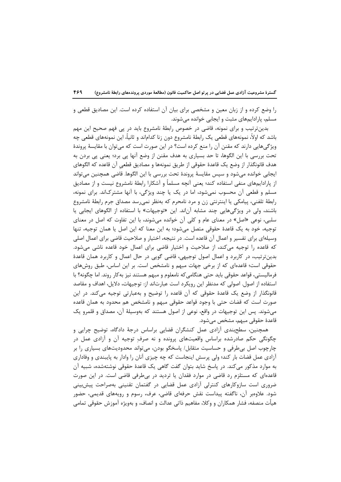را وضع کرده و از زبان معین و مشخصی برای بیان آن استفاده کرده است. این مصادیق قطعی و مسلم، پارادایمهای مثبت و ایجابی خوانده میشوند.

بدین ترتیب و برای نمونه، قاضی در خصوص رابطهٔ نامشروع باید در پی فهم صحیح این مهم باشد که اولاً، نمونههای قطعی یک رابطهٔ نامشروع دون زنا کداماند و ثانیاً، این نمونههای قطعی چه ویژگیهایی دارند که مقنن آن را منع کرده است؟ در این صورت است که میتوان با مقایسهٔ پروندهٔ تحت بررسی با این الگوها، تا حد بسیاری به هدف مقنن از وضع آنها پی برد؛ یعنی پی بردن به هدف قانونگذار از وضع يک قاعدهٔ حقوقى از طريق نمونهها و مصاديق قطعى آن قاعده که الگوهاى ایجابی خوانده میشود و سپس مقایسهٔ پروندهٔ تحت بررسی با این الگوها. قاضی همچنین میتواند از پارادایمهای منفی استفاده کند؛ یعنی آنچه مسلماً و آشکارا رابطهٔ نامشروع نیست و از مصادیق مسلم و قطعی آن محسوب نمیشود، اما در یک یا چند ویژگی، با آنها مشترکاند. برای نمونه، رابطهٔ تلفنی، پیامکی یا اینترنتی زن و مرد نامحرم که بهنظر نمی رسد مصداق جرم رابطهٔ نامشروع باشند، ولي در ويژگي هايي چند مشابه آناند. اين «توجيهات» با استفاده از الگوهاي ايجابي يا سلبي، نوعي «اصل» در معناي عام و كلي آن خوانده مي شوند، با اين تفاوت كه اصل در معناي توجيه، خود به يک قاعدۀ حقوقي متصل مے شود؛ به اين معنا که اين اصل يا همان توجيه، تنها وسیلهای برای تفسیر و اعمال آن قاعده است. در نتیجه، اختیار و صلاحیت قاضی برای اعمال اصلی که قاعده را توجیه میکند، از صلاحیت و اختیار قاضی برای اعمال خود قاعده ناشی میشود. بدین ترتیب، در کاربرد و اعمال اصول توجیهی، قاضی گویی در حال اعمال و کاربرد همان قاعدهٔ حقوقی است؛ قاعدهای که از برخی جهات مبهم و نامشخص است. بر این اساس، طبق روشهای فرمالیستی، قواعد حقوقی باید حتی هنگامی که نامعلوم و مبهم هستند نیز به کار روند. اما چگونه؟ با استفاده از اصول. اصولی که مدنظر این رویکرد است عبارتاند از: توجیهات، دلایل، اهداف و مقاصد قانونگذار از وضع یک قاعدهٔ حقوقی که آن قاعده را توضیح و بهعبارتی توجیه می کند. در این صورت است که قضات حتی با وجود قواعد حقوقی مبهم و نامشخص هم محدود به همان قاعده میشوند. پس این توجیهات در واقع، نوعی از اصول هستند که بهوسیلهٔ آن، مصداق و قلمرو یک قاعدۂ حقوقی مبهم، مشخص میشود.

همچنین، سطحبندی آزادی عمل کنشگران قضایی براساس درجهٔ دادگاه، توضیح چرایی و چگونگی حکم صادرشده براساس واقعیتهای پرونده و نه صرف توجیه آن و آزادی عمل در چارچوب اصل بی طرفی و حساسیت متقابل/ پاسخگو بودن، می تواند محدودیتهای بسیاری را بر آزادی عمل قضات بار کند؛ ولی پرسش اینجاست که چه چیزی آنان را وادار به پایبندی و وفاداری به موارد مذکور می کند. در پاسخ شاید بتوان گفت گاهی یک قاعدهٔ حقوقی نوشتهشده، شبیه آن قاعدهای که مستلزم رد قاضی در موارد فقدان یا تردید در بیطرفی قاضی است. در این صورت ضروری است سازوکارهای کنترلی آزادی عمل قضایی در گفتمان تقنینی بهصراحت پیش بینی شود. علاوەبر آن، ناگفته پیداست نقش حرفهای قاضی، عرف، رسوم و رویههای قدیمی، حضور هیأت منصفه، فشار همکاران و وکلا، مفاهیم ذاتی عدالت و انصاف، و بهویژه آموزش حقوقی تمامی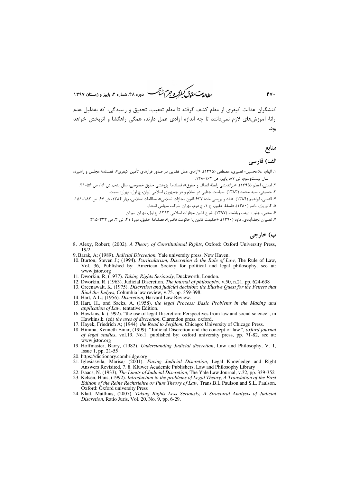ر<br>*رطال متحقاق کفرکر و جرم شنگ* دوره ۴۸، شماره ۲، باییز و زمستان ۱۳۹۷

کنشگران عدالت کیفری از مقام کشف گرفته تا مقام تعقیب، تحقیق و رسیدگی، که بهدلیل عدم ارائهٔ آموزشهای لازم نمیدانند تا چه اندازه آزادی عمل دارند، همگی راهگشا و اثربخش خواهد بود.

منابع

#### الف) فارسی

- ۱. الهام، غلامحسین؛ نصیری، مصطفی (۱۳۹۵). «آزادی عمل قضایی در صدور قرارهای تأمین کیفری»، فصلنامهٔ مجلس و راهبرد، سال بیستوسوم، ش ۸۷، پاییز، ص ۱۶۲-۱۳۸.
	- ٢. اميني، اعظم (١٣٩۵). «بازانديشي رابطة انصاف و حقوق»، فصلنامة پژوهشي حقوق خصوصي، سال پنجم ش ١۶، ص ٥۶-٣١.
		- ۳. حسینی، سید محمد (۱۳۸۳). سیاست جنایی در اسلام و در جمهوری اسلامی ایران، چ اول، تهران: سمت.
- ۴. قدسی، ابراهیم (۱۳۸۴). «نقد و بررسی مادهٔ ۶۳۷ قانون مجازات اسلامی»، مطالعات اسلامی، بهار ۱۳۸۴، ش ۶۷، ص ۱۸۲-۱۵۱.
	- ۵. کاتوزیان، ناصر (۱۳۸۰). فلسفهٔ حقوق، ج ۱، چ دوم، تهران: شرکت سهامی انتشار.
	- ۶. محبی، جلیل؛ زینب ریاضت. (۱۳۹۷). شرح قانون مجازات اسلامی ۱۳۹۲، چ اول، تهران: میزان.
	- ۷. نصیران نجفآبادی، داود (۱۳۹۰). «حکومت قانون یا حکومت قاضی»، فصلنامهٔ حقوق، دورهٔ ۴۱، ش ۳، ص ۳۳۳-۳۱۵.

## ب) خارجي

- 8. Alexy, Robert; (2002). A Theory of Constitutional Rights, Oxford: Oxford University Press,  $19/2$
- 9. Barak, A; (1989). Judicial Discretion, Yale university press, New Haven.
- 10. Burton, Steven J.; (1994). Particularism, Discretion & the Rule of Law, The Rule of Law, Vol. 36, Published by: American Society for political and legal philosophy, see at: www.jstor.org
- 11. Dworkin, R; (1977). Taking Rights Seriously, Duckworth, London.
- 12. Dworkin, R. (1963). Judicial Discretion, The journal of philosophy, v.50, n.21. pp. 624-638
- 13. Greenawalt, K. (1975). Discretion and judicial decision: the Elusive Quest for the Fetters that Bind the Judges, Columbia law review, v.75, pp. 359-398.
- 14. Hart, A.L.; (1956). Discretion, Harvard Law Review.
- 15. Hart, H., and Sacks, A. (1958). the legal Process: Basic Problems in the Making and application of Law, tentative Edition.
- 16. Hawkins, k. (1992). "the use of legal Discretion: Perspectives from law and social science", in Hawkins, k. (ed) the uses of discretion, Clarendon press, oxford.
- 17. Hayek, Friedrich A; (1944). *the Road to Serfdom*, Chicago: University of Chicago Press.
- 18. Himma, Kenneth Einar, (1999). "Judicial Discretion and the concept of law", *oxford journal* of legal studies, vol.19, No.1, published by: oxford university press, pp. 71-82, see at: www.jstor.org
- 19. Hoffmaster, Barry, (1982). Understanding Judicial discretion, Law and Philosophy, V. 1, Issue 1, pp. 21-55
- 20. https://dictionary.cambridge.org
- 21. Iglesiasvila, Marisa; (2001). Facing Judicial Discretion, Legal Knowledge and Right Answers Revisited, 7.8. Kluwer Academic Publishers, Law and Philosophy Library
- 22. Isaacs, N. (1933), The Limits of Judicial Discretion, The Yale Law Journal, v.32, pp. 339-352
- 23. Kelsen, Hans, (1992). Introduction to the problems of Legal Theory, A Translation of the First Edition of the Reine Rechtslehre or Pure Theory of Law, Trans.B.L Paulson and S.L. Paulson, Oxford: Oxford university Press
- 24. Klatt, Matthias; (2007). Taking Rights Less Seriously, A Structural Analysis of Judicial Discretion, Ratio Juris, Vol. 20, No. 9, pp. 6-29.